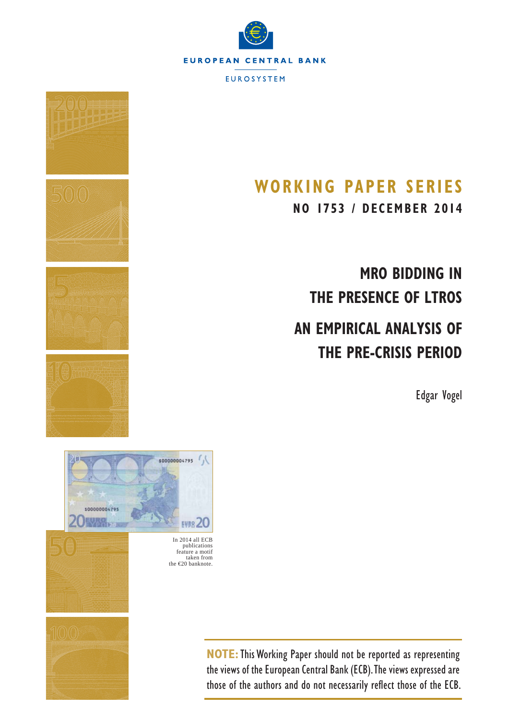



# **WORKING PAPER SERIES**

**NO 1753 / DECEMBER 2014**

**MRO BIDDING IN THE PRESENCE OF LTROS**

# **AN EMPIRICAL ANALYSIS OF THE PRE-CRISIS PERIOD**

Edgar Vogel



publications feature a motif taken from the €20 banknote.

**NOTE:**This Working Paper should not be reported as representing the views of the European Central Bank (ECB). The views expressed are those of the authors and do not necessarily reflect those of the ECB.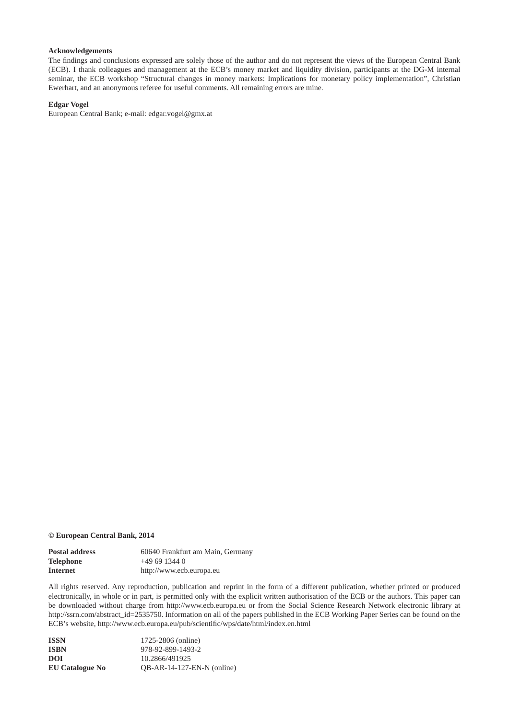### **Acknowledgements**

The findings and conclusions expressed are solely those of the author and do not represent the views of the European Central Bank (ECB). I thank colleagues and management at the ECB's money market and liquidity division, participants at the DG-M internal seminar, the ECB workshop "Structural changes in money markets: Implications for monetary policy implementation", Christian Ewerhart, and an anonymous referee for useful comments. All remaining errors are mine.

#### **Edgar Vogel**

European Central Bank; e-mail: edgar.vogel@gmx.at

#### **© European Central Bank, 2014**

| <b>Postal address</b> | 60640 Frankfurt am Main, Germany |
|-----------------------|----------------------------------|
| <b>Telephone</b>      | $+496913440$                     |
| Internet              | http://www.ecb.europa.eu         |

All rights reserved. Any reproduction, publication and reprint in the form of a different publication, whether printed or produced electronically, in whole or in part, is permitted only with the explicit written authorisation of the ECB or the authors. This paper can be downloaded without charge from http://www.ecb.europa.eu or from the Social Science Research Network electronic library at http://ssrn.com/abstract\_id=2535750. Information on all of the papers published in the ECB Working Paper Series can be found on the ECB's website, http://www.ecb.europa.eu/pub/scientific/wps/date/html/index.en.html

| <b>ISSN</b>            | 1725-2806 (online)           |
|------------------------|------------------------------|
| <b>ISBN</b>            | 978-92-899-1493-2            |
| DOI                    | 10.2866/491925               |
| <b>EU Catalogue No</b> | $OB-AR-14-127-EN-N$ (online) |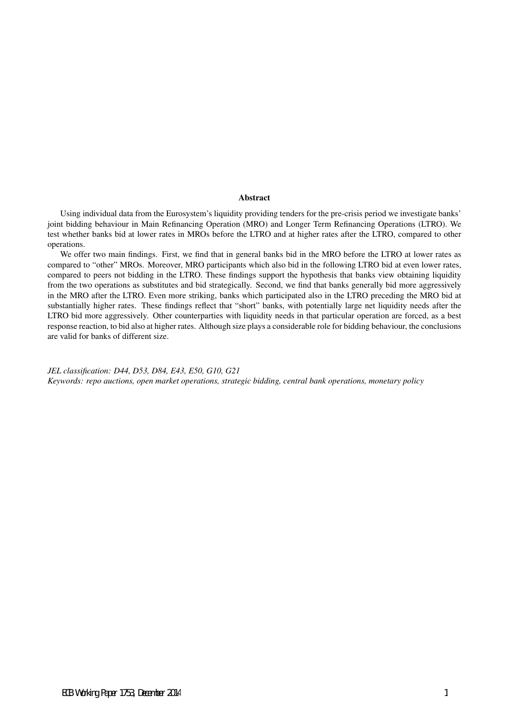#### Abstract

Using individual data from the Eurosystem's liquidity providing tenders for the pre-crisis period we investigate banks' joint bidding behaviour in Main Refinancing Operation (MRO) and Longer Term Refinancing Operations (LTRO). We test whether banks bid at lower rates in MROs before the LTRO and at higher rates after the LTRO, compared to other operations.

We offer two main findings. First, we find that in general banks bid in the MRO before the LTRO at lower rates as compared to "other" MROs. Moreover, MRO participants which also bid in the following LTRO bid at even lower rates, compared to peers not bidding in the LTRO. These findings support the hypothesis that banks view obtaining liquidity from the two operations as substitutes and bid strategically. Second, we find that banks generally bid more aggressively in the MRO after the LTRO. Even more striking, banks which participated also in the LTRO preceding the MRO bid at substantially higher rates. These findings reflect that "short" banks, with potentially large net liquidity needs after the LTRO bid more aggressively. Other counterparties with liquidity needs in that particular operation are forced, as a best response reaction, to bid also at higher rates. Although size plays a considerable role for bidding behaviour, the conclusions are valid for banks of different size.

*JEL classification: D44, D53, D84, E43, E50, G10, G21 Keywords: repo auctions, open market operations, strategic bidding, central bank operations, monetary policy*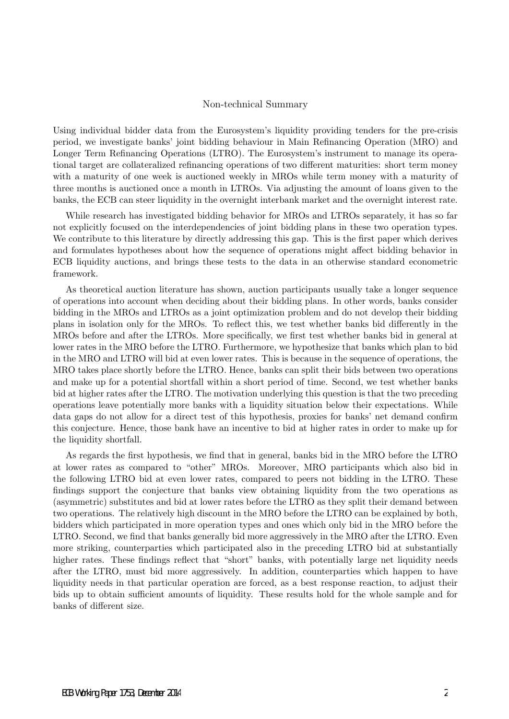### Non-technical Summary

Using individual bidder data from the Eurosystem's liquidity providing tenders for the pre-crisis period, we investigate banks' joint bidding behaviour in Main Refinancing Operation (MRO) and Longer Term Refinancing Operations (LTRO). The Eurosystem's instrument to manage its operational target are collateralized refinancing operations of two different maturities: short term money with a maturity of one week is auctioned weekly in MROs while term money with a maturity of three months is auctioned once a month in LTROs. Via adjusting the amount of loans given to the banks, the ECB can steer liquidity in the overnight interbank market and the overnight interest rate.

While research has investigated bidding behavior for MROs and LTROs separately, it has so far not explicitly focused on the interdependencies of joint bidding plans in these two operation types. We contribute to this literature by directly addressing this gap. This is the first paper which derives and formulates hypotheses about how the sequence of operations might affect bidding behavior in ECB liquidity auctions, and brings these tests to the data in an otherwise standard econometric framework.

As theoretical auction literature has shown, auction participants usually take a longer sequence of operations into account when deciding about their bidding plans. In other words, banks consider bidding in the MROs and LTROs as a joint optimization problem and do not develop their bidding plans in isolation only for the MROs. To reflect this, we test whether banks bid differently in the MROs before and after the LTROs. More specifically, we first test whether banks bid in general at lower rates in the MRO before the LTRO. Furthermore, we hypothesize that banks which plan to bid in the MRO and LTRO will bid at even lower rates. This is because in the sequence of operations, the MRO takes place shortly before the LTRO. Hence, banks can split their bids between two operations and make up for a potential shortfall within a short period of time. Second, we test whether banks bid at higher rates after the LTRO. The motivation underlying this question is that the two preceding operations leave potentially more banks with a liquidity situation below their expectations. While data gaps do not allow for a direct test of this hypothesis, proxies for banks' net demand confirm this conjecture. Hence, those bank have an incentive to bid at higher rates in order to make up for the liquidity shortfall.

As regards the first hypothesis, we find that in general, banks bid in the MRO before the LTRO at lower rates as compared to "other" MROs. Moreover, MRO participants which also bid in the following LTRO bid at even lower rates, compared to peers not bidding in the LTRO. These findings support the conjecture that banks view obtaining liquidity from the two operations as (asymmetric) substitutes and bid at lower rates before the LTRO as they split their demand between two operations. The relatively high discount in the MRO before the LTRO can be explained by both, bidders which participated in more operation types and ones which only bid in the MRO before the LTRO. Second, we find that banks generally bid more aggressively in the MRO after the LTRO. Even more striking, counterparties which participated also in the preceding LTRO bid at substantially higher rates. These findings reflect that "short" banks, with potentially large net liquidity needs after the LTRO, must bid more aggressively. In addition, counterparties which happen to have liquidity needs in that particular operation are forced, as a best response reaction, to adjust their bids up to obtain sufficient amounts of liquidity. These results hold for the whole sample and for banks of different size.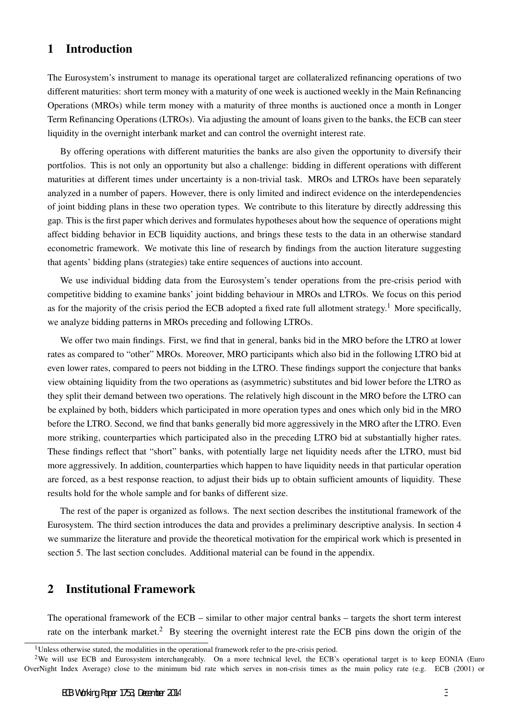### 1 Introduction

The Eurosystem's instrument to manage its operational target are collateralized refinancing operations of two different maturities: short term money with a maturity of one week is auctioned weekly in the Main Refinancing Operations (MROs) while term money with a maturity of three months is auctioned once a month in Longer Term Refinancing Operations (LTROs). Via adjusting the amount of loans given to the banks, the ECB can steer liquidity in the overnight interbank market and can control the overnight interest rate.

By offering operations with different maturities the banks are also given the opportunity to diversify their portfolios. This is not only an opportunity but also a challenge: bidding in different operations with different maturities at different times under uncertainty is a non-trivial task. MROs and LTROs have been separately analyzed in a number of papers. However, there is only limited and indirect evidence on the interdependencies of joint bidding plans in these two operation types. We contribute to this literature by directly addressing this gap. This is the first paper which derives and formulates hypotheses about how the sequence of operations might affect bidding behavior in ECB liquidity auctions, and brings these tests to the data in an otherwise standard econometric framework. We motivate this line of research by findings from the auction literature suggesting that agents' bidding plans (strategies) take entire sequences of auctions into account.

We use individual bidding data from the Eurosystem's tender operations from the pre-crisis period with competitive bidding to examine banks' joint bidding behaviour in MROs and LTROs. We focus on this period as for the majority of the crisis period the ECB adopted a fixed rate full allotment strategy.<sup>1</sup> More specifically, we analyze bidding patterns in MROs preceding and following LTROs.

We offer two main findings. First, we find that in general, banks bid in the MRO before the LTRO at lower rates as compared to "other" MROs. Moreover, MRO participants which also bid in the following LTRO bid at even lower rates, compared to peers not bidding in the LTRO. These findings support the conjecture that banks view obtaining liquidity from the two operations as (asymmetric) substitutes and bid lower before the LTRO as they split their demand between two operations. The relatively high discount in the MRO before the LTRO can be explained by both, bidders which participated in more operation types and ones which only bid in the MRO before the LTRO. Second, we find that banks generally bid more aggressively in the MRO after the LTRO. Even more striking, counterparties which participated also in the preceding LTRO bid at substantially higher rates. These findings reflect that "short" banks, with potentially large net liquidity needs after the LTRO, must bid more aggressively. In addition, counterparties which happen to have liquidity needs in that particular operation are forced, as a best response reaction, to adjust their bids up to obtain sufficient amounts of liquidity. These results hold for the whole sample and for banks of different size.

The rest of the paper is organized as follows. The next section describes the institutional framework of the Eurosystem. The third section introduces the data and provides a preliminary descriptive analysis. In section 4 we summarize the literature and provide the theoretical motivation for the empirical work which is presented in section 5. The last section concludes. Additional material can be found in the appendix.

# 2 Institutional Framework

The operational framework of the ECB – similar to other major central banks – targets the short term interest rate on the interbank market.<sup>2</sup> By steering the overnight interest rate the ECB pins down the origin of the

 $1$ Unless otherwise stated, the modalities in the operational framework refer to the pre-crisis period.

<sup>&</sup>lt;sup>2</sup>We will use ECB and Eurosystem interchangeably. On a more technical level, the ECB's operational target is to keep EONIA (Euro OverNight Index Average) close to the minimum bid rate which serves in non-crisis times as the main policy rate (e.g. ECB (2001) or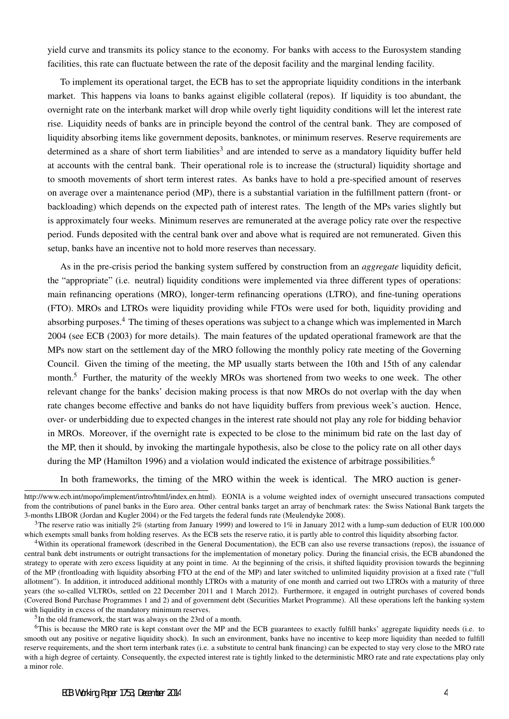yield curve and transmits its policy stance to the economy. For banks with access to the Eurosystem standing facilities, this rate can fluctuate between the rate of the deposit facility and the marginal lending facility.

To implement its operational target, the ECB has to set the appropriate liquidity conditions in the interbank market. This happens via loans to banks against eligible collateral (repos). If liquidity is too abundant, the overnight rate on the interbank market will drop while overly tight liquidity conditions will let the interest rate rise. Liquidity needs of banks are in principle beyond the control of the central bank. They are composed of liquidity absorbing items like government deposits, banknotes, or minimum reserves. Reserve requirements are determined as a share of short term liabilities<sup>3</sup> and are intended to serve as a mandatory liquidity buffer held at accounts with the central bank. Their operational role is to increase the (structural) liquidity shortage and to smooth movements of short term interest rates. As banks have to hold a pre-specified amount of reserves on average over a maintenance period (MP), there is a substantial variation in the fulfillment pattern (front- or backloading) which depends on the expected path of interest rates. The length of the MPs varies slightly but is approximately four weeks. Minimum reserves are remunerated at the average policy rate over the respective period. Funds deposited with the central bank over and above what is required are not remunerated. Given this setup, banks have an incentive not to hold more reserves than necessary.

As in the pre-crisis period the banking system suffered by construction from an *aggregate* liquidity deficit, the "appropriate" (i.e. neutral) liquidity conditions were implemented via three different types of operations: main refinancing operations (MRO), longer-term refinancing operations (LTRO), and fine-tuning operations (FTO). MROs and LTROs were liquidity providing while FTOs were used for both, liquidity providing and absorbing purposes.<sup>4</sup> The timing of theses operations was subject to a change which was implemented in March 2004 (see ECB (2003) for more details). The main features of the updated operational framework are that the MPs now start on the settlement day of the MRO following the monthly policy rate meeting of the Governing Council. Given the timing of the meeting, the MP usually starts between the 10th and 15th of any calendar month.<sup>5</sup> Further, the maturity of the weekly MROs was shortened from two weeks to one week. The other relevant change for the banks' decision making process is that now MROs do not overlap with the day when rate changes become effective and banks do not have liquidity buffers from previous week's auction. Hence, over- or underbidding due to expected changes in the interest rate should not play any role for bidding behavior in MROs. Moreover, if the overnight rate is expected to be close to the minimum bid rate on the last day of the MP, then it should, by invoking the martingale hypothesis, also be close to the policy rate on all other days during the MP (Hamilton 1996) and a violation would indicated the existence of arbitrage possibilities.<sup>6</sup>

In both frameworks, the timing of the MRO within the week is identical. The MRO auction is gener-

<sup>5</sup>In the old framework, the start was always on the 23rd of a month.

http://www.ecb.int/mopo/implement/intro/html/index.en.html). EONIA is a volume weighted index of overnight unsecured transactions computed from the contributions of panel banks in the Euro area. Other central banks target an array of benchmark rates: the Swiss National Bank targets the 3-months LIBOR (Jordan and Kugler 2004) or the Fed targets the federal funds rate (Meulendyke 2008).

<sup>&</sup>lt;sup>3</sup>The reserve ratio was initially 2% (starting from January 1999) and lowered to 1% in January 2012 with a lump-sum deduction of EUR 100.000 which exempts small banks from holding reserves. As the ECB sets the reserve ratio, it is partly able to control this liquidity absorbing factor.

<sup>4</sup>Within its operational framework (described in the General Documentation), the ECB can also use reverse transactions (repos), the issuance of central bank debt instruments or outright transactions for the implementation of monetary policy. During the financial crisis, the ECB abandoned the strategy to operate with zero excess liquidity at any point in time. At the beginning of the crisis, it shifted liquidity provision towards the beginning of the MP (frontloading with liquidity absorbing FTO at the end of the MP) and later switched to unlimited liquidity provision at a fixed rate ("full allotment"). In addition, it introduced additional monthly LTROs with a maturity of one month and carried out two LTROs with a maturity of three years (the so-called VLTROs, settled on 22 December 2011 and 1 March 2012). Furthermore, it engaged in outright purchases of covered bonds (Covered Bond Purchase Programmes 1 and 2) and of government debt (Securities Market Programme). All these operations left the banking system with liquidity in excess of the mandatory minimum reserves.

<sup>6</sup>This is because the MRO rate is kept constant over the MP and the ECB guarantees to exactly fulfill banks' aggregate liquidity needs (i.e. to smooth out any positive or negative liquidity shock). In such an environment, banks have no incentive to keep more liquidity than needed to fulfill reserve requirements, and the short term interbank rates (i.e. a substitute to central bank financing) can be expected to stay very close to the MRO rate with a high degree of certainty. Consequently, the expected interest rate is tightly linked to the deterministic MRO rate and rate expectations play only a minor role.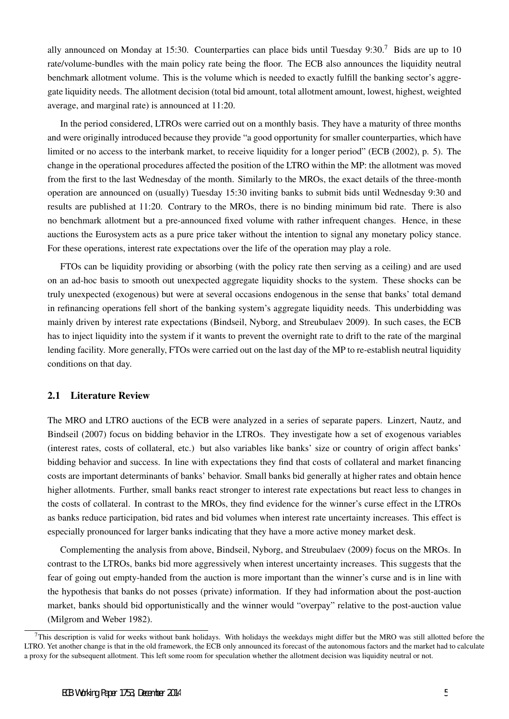ally announced on Monday at 15:30. Counterparties can place bids until Tuesday 9:30.<sup>7</sup> Bids are up to 10 rate/volume-bundles with the main policy rate being the floor. The ECB also announces the liquidity neutral benchmark allotment volume. This is the volume which is needed to exactly fulfill the banking sector's aggregate liquidity needs. The allotment decision (total bid amount, total allotment amount, lowest, highest, weighted average, and marginal rate) is announced at 11:20.

In the period considered, LTROs were carried out on a monthly basis. They have a maturity of three months and were originally introduced because they provide "a good opportunity for smaller counterparties, which have limited or no access to the interbank market, to receive liquidity for a longer period" (ECB (2002), p. 5). The change in the operational procedures affected the position of the LTRO within the MP: the allotment was moved from the first to the last Wednesday of the month. Similarly to the MROs, the exact details of the three-month operation are announced on (usually) Tuesday 15:30 inviting banks to submit bids until Wednesday 9:30 and results are published at 11:20. Contrary to the MROs, there is no binding minimum bid rate. There is also no benchmark allotment but a pre-announced fixed volume with rather infrequent changes. Hence, in these auctions the Eurosystem acts as a pure price taker without the intention to signal any monetary policy stance. For these operations, interest rate expectations over the life of the operation may play a role.

FTOs can be liquidity providing or absorbing (with the policy rate then serving as a ceiling) and are used on an ad-hoc basis to smooth out unexpected aggregate liquidity shocks to the system. These shocks can be truly unexpected (exogenous) but were at several occasions endogenous in the sense that banks' total demand in refinancing operations fell short of the banking system's aggregate liquidity needs. This underbidding was mainly driven by interest rate expectations (Bindseil, Nyborg, and Streubulaev 2009). In such cases, the ECB has to inject liquidity into the system if it wants to prevent the overnight rate to drift to the rate of the marginal lending facility. More generally, FTOs were carried out on the last day of the MP to re-establish neutral liquidity conditions on that day.

### 2.1 Literature Review

The MRO and LTRO auctions of the ECB were analyzed in a series of separate papers. Linzert, Nautz, and Bindseil (2007) focus on bidding behavior in the LTROs. They investigate how a set of exogenous variables (interest rates, costs of collateral, etc.) but also variables like banks' size or country of origin affect banks' bidding behavior and success. In line with expectations they find that costs of collateral and market financing costs are important determinants of banks' behavior. Small banks bid generally at higher rates and obtain hence higher allotments. Further, small banks react stronger to interest rate expectations but react less to changes in the costs of collateral. In contrast to the MROs, they find evidence for the winner's curse effect in the LTROs as banks reduce participation, bid rates and bid volumes when interest rate uncertainty increases. This effect is especially pronounced for larger banks indicating that they have a more active money market desk.

Complementing the analysis from above, Bindseil, Nyborg, and Streubulaev (2009) focus on the MROs. In contrast to the LTROs, banks bid more aggressively when interest uncertainty increases. This suggests that the fear of going out empty-handed from the auction is more important than the winner's curse and is in line with the hypothesis that banks do not posses (private) information. If they had information about the post-auction market, banks should bid opportunistically and the winner would "overpay" relative to the post-auction value (Milgrom and Weber 1982).

 $7$ This description is valid for weeks without bank holidays. With holidays the weekdays might differ but the MRO was still allotted before the LTRO. Yet another change is that in the old framework, the ECB only announced its forecast of the autonomous factors and the market had to calculate a proxy for the subsequent allotment. This left some room for speculation whether the allotment decision was liquidity neutral or not.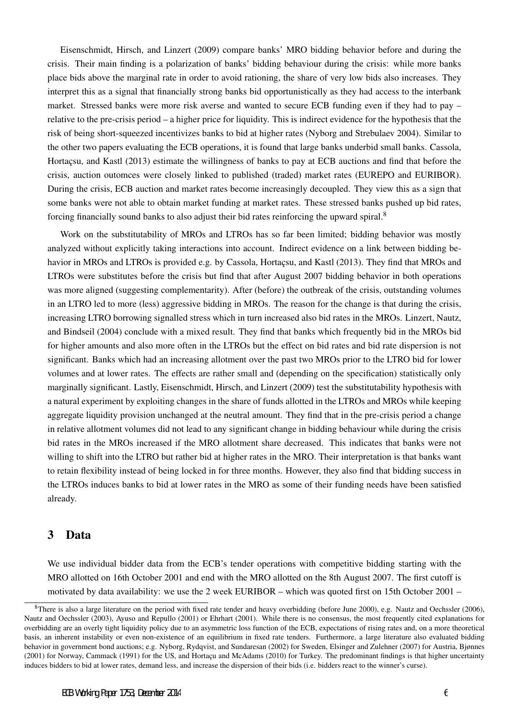Eisenschmidt, Hirsch, and Linzert (2009) compare banks' MRO bidding behavior before and during the crisis. Their main finding is a polarization of banks' bidding behaviour during the crisis: while more banks place bids above the marginal rate in order to avoid rationing, the share of very low bids also increases. They interpret this as a signal that financially strong banks bid opportunistically as they had access to the interbank market. Stressed banks were more risk averse and wanted to secure ECB funding even if they had to pay – relative to the pre-crisis period – a higher price for liquidity. This is indirect evidence for the hypothesis that the risk of being short-squeezed incentivizes banks to bid at higher rates (Nyborg and Strebulaev 2004). Similar to the other two papers evaluating the ECB operations, it is found that large banks underbid small banks. Cassola, Hortacsu, and Kastl (2013) estimate the willingness of banks to pay at ECB auctions and find that before the crisis, auction outomces were closely linked to published (traded) market rates (EUREPO and EURIBOR). During the crisis, ECB auction and market rates become increasingly decoupled. They view this as a sign that some banks were not able to obtain market funding at market rates. These stressed banks pushed up bid rates, forcing financially sound banks to also adjust their bid rates reinforcing the upward spiral. $8$ 

Work on the substitutability of MROs and LTROs has so far been limited; bidding behavior was mostly analyzed without explicitly taking interactions into account. Indirect evidence on a link between bidding behavior in MROs and LTROs is provided e.g. by Cassola, Hortacsu, and Kastl (2013). They find that MROs and LTROs were substitutes before the crisis but find that after August 2007 bidding behavior in both operations was more aligned (suggesting complementarity). After (before) the outbreak of the crisis, outstanding volumes in an LTRO led to more (less) aggressive bidding in MROs. The reason for the change is that during the crisis, increasing LTRO borrowing signalled stress which in turn increased also bid rates in the MROs. Linzert, Nautz, and Bindseil (2004) conclude with a mixed result. They find that banks which frequently bid in the MROs bid for higher amounts and also more often in the LTROs but the effect on bid rates and bid rate dispersion is not significant. Banks which had an increasing allotment over the past two MROs prior to the LTRO bid for lower volumes and at lower rates. The effects are rather small and (depending on the specification) statistically only marginally significant. Lastly, Eisenschmidt, Hirsch, and Linzert (2009) test the substitutability hypothesis with a natural experiment by exploiting changes in the share of funds allotted in the LTROs and MROs while keeping aggregate liquidity provision unchanged at the neutral amount. They find that in the pre-crisis period a change in relative allotment volumes did not lead to any significant change in bidding behaviour while during the crisis bid rates in the MROs increased if the MRO allotment share decreased. This indicates that banks were not willing to shift into the LTRO but rather bid at higher rates in the MRO. Their interpretation is that banks want to retain flexibility instead of being locked in for three months. However, they also find that bidding success in the LTROs induces banks to bid at lower rates in the MRO as some of their funding needs have been satisfied already.

### 3 Data

We use individual bidder data from the ECB's tender operations with competitive bidding starting with the MRO allotted on 16th October 2001 and end with the MRO allotted on the 8th August 2007. The first cutoff is motivated by data availability: we use the 2 week EURIBOR – which was quoted first on 15th October 2001 –

 $8$ There is also a large literature on the period with fixed rate tender and heavy overbidding (before June 2000), e.g. Nautz and Oechssler (2006), Nautz and Oechssler (2003), Ayuso and Repullo (2001) or Ehrhart (2001). While there is no consensus, the most frequently cited explanations for overbidding are an overly tight liquidity policy due to an asymmetric loss function of the ECB, expectations of rising rates and, on a more theoretical basis, an inherent instability or even non-existence of an equilibrium in fixed rate tenders. Furthermore, a large literature also evaluated bidding behavior in government bond auctions; e.g. Nyborg, Rydqvist, and Sundaresan (2002) for Sweden, Elsinger and Zulehner (2007) for Austria, Bjønnes (2001) for Norway, Cammack (1991) for the US, and Hortaçu and McAdams (2010) for Turkey. The predominant findings is that higher uncertainty induces bidders to bid at lower rates, demand less, and increase the dispersion of their bids (i.e. bidders react to the winner's curse).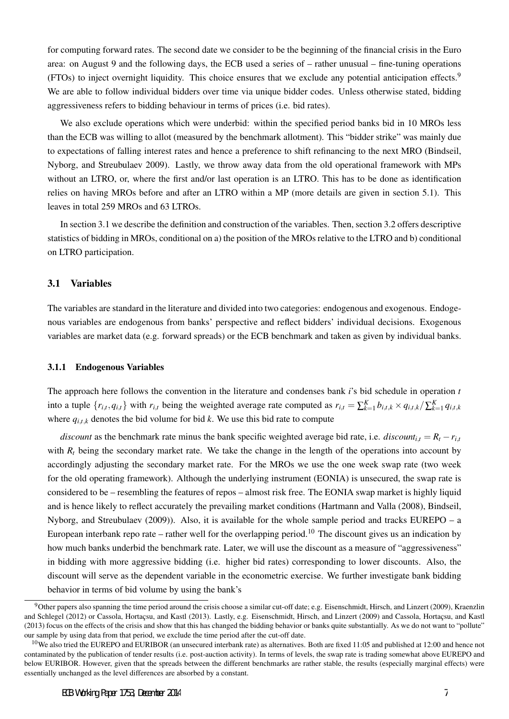for computing forward rates. The second date we consider to be the beginning of the financial crisis in the Euro area: on August 9 and the following days, the ECB used a series of – rather unusual – fine-tuning operations (FTOs) to inject overnight liquidity. This choice ensures that we exclude any potential anticipation effects.<sup>9</sup> We are able to follow individual bidders over time via unique bidder codes. Unless otherwise stated, bidding aggressiveness refers to bidding behaviour in terms of prices (i.e. bid rates).

We also exclude operations which were underbid: within the specified period banks bid in 10 MROs less than the ECB was willing to allot (measured by the benchmark allotment). This "bidder strike" was mainly due to expectations of falling interest rates and hence a preference to shift refinancing to the next MRO (Bindseil, Nyborg, and Streubulaev 2009). Lastly, we throw away data from the old operational framework with MPs without an LTRO, or, where the first and/or last operation is an LTRO. This has to be done as identification relies on having MROs before and after an LTRO within a MP (more details are given in section 5.1). This leaves in total 259 MROs and 63 LTROs.

In section 3.1 we describe the definition and construction of the variables. Then, section 3.2 offers descriptive statistics of bidding in MROs, conditional on a) the position of the MROs relative to the LTRO and b) conditional on LTRO participation.

### 3.1 Variables

The variables are standard in the literature and divided into two categories: endogenous and exogenous. Endogenous variables are endogenous from banks' perspective and reflect bidders' individual decisions. Exogenous variables are market data (e.g. forward spreads) or the ECB benchmark and taken as given by individual banks.

### 3.1.1 Endogenous Variables

The approach here follows the convention in the literature and condenses bank *i*'s bid schedule in operation *t* into a tuple  $\{r_{i,t}, q_{i,t}\}$  with  $r_{i,t}$  being the weighted average rate computed as  $r_{i,t} = \sum_{k=1}^{K} b_{i,t,k} \times q_{i,t,k} / \sum_{k=1}^{K} q_{i,t,k}$ where  $q_{i,t,k}$  denotes the bid volume for bid *k*. We use this bid rate to compute

*discount* as the benchmark rate minus the bank specific weighted average bid rate, i.e. *discount*<sub>it</sub> =  $R_t - r_{i,t}$ with  $R_t$  being the secondary market rate. We take the change in the length of the operations into account by accordingly adjusting the secondary market rate. For the MROs we use the one week swap rate (two week for the old operating framework). Although the underlying instrument (EONIA) is unsecured, the swap rate is considered to be – resembling the features of repos – almost risk free. The EONIA swap market is highly liquid and is hence likely to reflect accurately the prevailing market conditions (Hartmann and Valla (2008), Bindseil, Nyborg, and Streubulaev (2009)). Also, it is available for the whole sample period and tracks EUREPO – a European interbank repo rate – rather well for the overlapping period.<sup>10</sup> The discount gives us an indication by how much banks underbid the benchmark rate. Later, we will use the discount as a measure of "aggressiveness" in bidding with more aggressive bidding (i.e. higher bid rates) corresponding to lower discounts. Also, the discount will serve as the dependent variable in the econometric exercise. We further investigate bank bidding behavior in terms of bid volume by using the bank's

<sup>9</sup>Other papers also spanning the time period around the crisis choose a similar cut-off date; e.g. Eisenschmidt, Hirsch, and Linzert (2009), Kraenzlin and Schlegel (2012) or Cassola, Hortacsu, and Kastl (2013). Lastly, e.g. Eisenschmidt, Hirsch, and Linzert (2009) and Cassola, Hortacsu, and Kastl (2013) focus on the effects of the crisis and show that this has changed the bidding behavior or banks quite substantially. As we do not want to "pollute" our sample by using data from that period, we exclude the time period after the cut-off date.

<sup>&</sup>lt;sup>10</sup>We also tried the EUREPO and EURIBOR (an unsecured interbank rate) as alternatives. Both are fixed 11:05 and published at 12:00 and hence not contaminated by the publication of tender results (i.e. post-auction activity). In terms of levels, the swap rate is trading somewhat above EUREPO and below EURIBOR. However, given that the spreads between the different benchmarks are rather stable, the results (especially marginal effects) were essentially unchanged as the level differences are absorbed by a constant.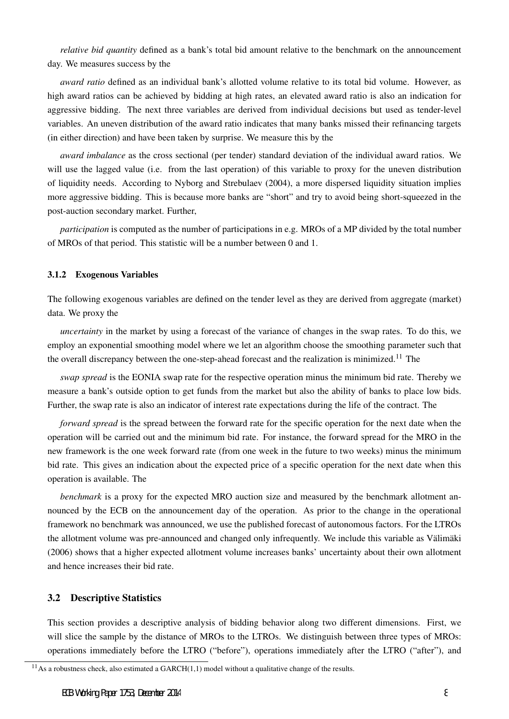*relative bid quantity* defined as a bank's total bid amount relative to the benchmark on the announcement day. We measures success by the

*award ratio* defined as an individual bank's allotted volume relative to its total bid volume. However, as high award ratios can be achieved by bidding at high rates, an elevated award ratio is also an indication for aggressive bidding. The next three variables are derived from individual decisions but used as tender-level variables. An uneven distribution of the award ratio indicates that many banks missed their refinancing targets (in either direction) and have been taken by surprise. We measure this by the

*award imbalance* as the cross sectional (per tender) standard deviation of the individual award ratios. We will use the lagged value (i.e. from the last operation) of this variable to proxy for the uneven distribution of liquidity needs. According to Nyborg and Strebulaev (2004), a more dispersed liquidity situation implies more aggressive bidding. This is because more banks are "short" and try to avoid being short-squeezed in the post-auction secondary market. Further,

*participation* is computed as the number of participations in e.g. MROs of a MP divided by the total number of MROs of that period. This statistic will be a number between 0 and 1.

### 3.1.2 Exogenous Variables

The following exogenous variables are defined on the tender level as they are derived from aggregate (market) data. We proxy the

*uncertainty* in the market by using a forecast of the variance of changes in the swap rates. To do this, we employ an exponential smoothing model where we let an algorithm choose the smoothing parameter such that the overall discrepancy between the one-step-ahead forecast and the realization is minimized.<sup>11</sup> The

*swap spread* is the EONIA swap rate for the respective operation minus the minimum bid rate. Thereby we measure a bank's outside option to get funds from the market but also the ability of banks to place low bids. Further, the swap rate is also an indicator of interest rate expectations during the life of the contract. The

*forward spread* is the spread between the forward rate for the specific operation for the next date when the operation will be carried out and the minimum bid rate. For instance, the forward spread for the MRO in the new framework is the one week forward rate (from one week in the future to two weeks) minus the minimum bid rate. This gives an indication about the expected price of a specific operation for the next date when this operation is available. The

*benchmark* is a proxy for the expected MRO auction size and measured by the benchmark allotment announced by the ECB on the announcement day of the operation. As prior to the change in the operational framework no benchmark was announced, we use the published forecast of autonomous factors. For the LTROs the allotment volume was pre-announced and changed only infrequently. We include this variable as Välimäki (2006) shows that a higher expected allotment volume increases banks' uncertainty about their own allotment and hence increases their bid rate.

### 3.2 Descriptive Statistics

This section provides a descriptive analysis of bidding behavior along two different dimensions. First, we will slice the sample by the distance of MROs to the LTROs. We distinguish between three types of MROs: operations immediately before the LTRO ("before"), operations immediately after the LTRO ("after"), and

 $11$ As a robustness check, also estimated a GARCH $(1,1)$  model without a qualitative change of the results.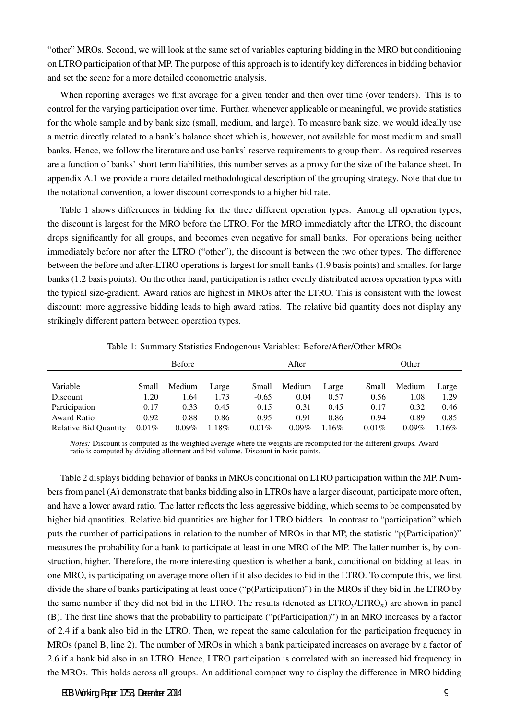"other" MROs. Second, we will look at the same set of variables capturing bidding in the MRO but conditioning on LTRO participation of that MP. The purpose of this approach is to identify key differences in bidding behavior and set the scene for a more detailed econometric analysis.

When reporting averages we first average for a given tender and then over time (over tenders). This is to control for the varying participation over time. Further, whenever applicable or meaningful, we provide statistics for the whole sample and by bank size (small, medium, and large). To measure bank size, we would ideally use a metric directly related to a bank's balance sheet which is, however, not available for most medium and small banks. Hence, we follow the literature and use banks' reserve requirements to group them. As required reserves are a function of banks' short term liabilities, this number serves as a proxy for the size of the balance sheet. In appendix A.1 we provide a more detailed methodological description of the grouping strategy. Note that due to the notational convention, a lower discount corresponds to a higher bid rate.

Table 1 shows differences in bidding for the three different operation types. Among all operation types, the discount is largest for the MRO before the LTRO. For the MRO immediately after the LTRO, the discount drops significantly for all groups, and becomes even negative for small banks. For operations being neither immediately before nor after the LTRO ("other"), the discount is between the two other types. The difference between the before and after-LTRO operations is largest for small banks (1.9 basis points) and smallest for large banks (1.2 basis points). On the other hand, participation is rather evenly distributed across operation types with the typical size-gradient. Award ratios are highest in MROs after the LTRO. This is consistent with the lowest discount: more aggressive bidding leads to high award ratios. The relative bid quantity does not display any strikingly different pattern between operation types.

|                              | <b>Before</b> |          |       |          | After    |       |          | Other    |       |  |
|------------------------------|---------------|----------|-------|----------|----------|-------|----------|----------|-------|--|
|                              |               |          |       |          |          |       |          |          |       |  |
| Variable                     | Small         | Medium   | Large | Small    | Medium   | Large | Small    | Medium   | Large |  |
| Discount                     | 1.20          | .64      | 1.73  | $-0.65$  | 0.04     | 0.57  | 0.56     | 1.08     | 1.29  |  |
| Participation                | 0.17          | 0.33     | 0.45  | 0.15     | 0.31     | 0.45  | 0.17     | 0.32     | 0.46  |  |
| Award Ratio                  | 0.92          | 0.88     | 0.86  | 0.95     | 0.91     | 0.86  | 0.94     | 0.89     | 0.85  |  |
| <b>Relative Bid Quantity</b> | 0.01%         | $0.09\%$ | .18%  | $0.01\%$ | $0.09\%$ | .16%  | $0.01\%$ | $0.09\%$ | .16%  |  |

Table 1: Summary Statistics Endogenous Variables: Before/After/Other MROs

*Notes:* Discount is computed as the weighted average where the weights are recomputed for the different groups. Award ratio is computed by dividing allotment and bid volume. Discount in basis points.

Table 2 displays bidding behavior of banks in MROs conditional on LTRO participation within the MP. Numbers from panel (A) demonstrate that banks bidding also in LTROs have a larger discount, participate more often, and have a lower award ratio. The latter reflects the less aggressive bidding, which seems to be compensated by higher bid quantities. Relative bid quantities are higher for LTRO bidders. In contrast to "participation" which puts the number of participations in relation to the number of MROs in that MP, the statistic "p(Participation)" measures the probability for a bank to participate at least in one MRO of the MP. The latter number is, by construction, higher. Therefore, the more interesting question is whether a bank, conditional on bidding at least in one MRO, is participating on average more often if it also decides to bid in the LTRO. To compute this, we first divide the share of banks participating at least once ("p(Participation)") in the MROs if they bid in the LTRO by the same number if they did not bid in the LTRO. The results (denoted as LTRO*y*/LTRO*n*) are shown in panel (B). The first line shows that the probability to participate ("p(Participation)") in an MRO increases by a factor of 2.4 if a bank also bid in the LTRO. Then, we repeat the same calculation for the participation frequency in MROs (panel B, line 2). The number of MROs in which a bank participated increases on average by a factor of 2.6 if a bank bid also in an LTRO. Hence, LTRO participation is correlated with an increased bid frequency in the MROs. This holds across all groups. An additional compact way to display the difference in MRO bidding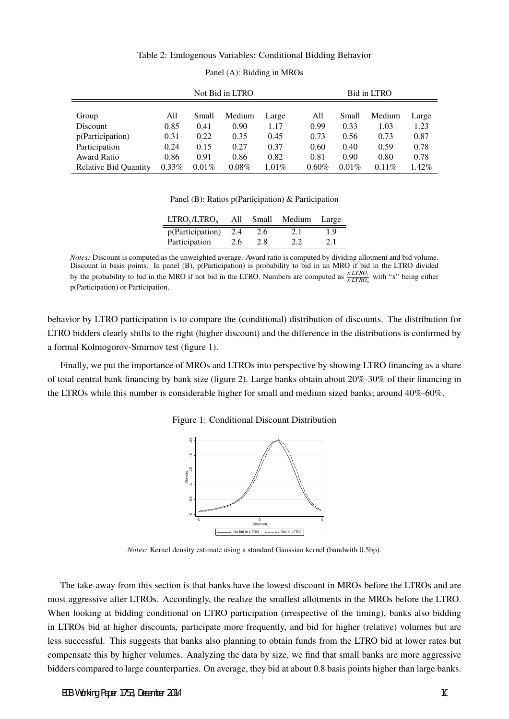### Table 2: Endogenous Variables: Conditional Bidding Behavior

|                              | Not Bid in LTRO |          |        |       |       | Bid in LTRO |          |       |  |
|------------------------------|-----------------|----------|--------|-------|-------|-------------|----------|-------|--|
| Group                        | All             | Small    | Medium | Large | All   | Small       | Medium   | Large |  |
| Discount                     | 0.85            | 0.41     | 0.90   | 1.17  | 0.99  | 0.33        | 1.03     | 1.23  |  |
| p(Participation)             | 0.31            | 0.22     | 0.35   | 0.45  | 0.73  | 0.56        | 0.73     | 0.87  |  |
| Participation                | 0.24            | 0.15     | 0.27   | 0.37  | 0.60  | 0.40        | 0.59     | 0.78  |  |
| <b>Award Ratio</b>           | 0.86            | 0.91     | 0.86   | 0.82  | 0.81  | 0.90        | 0.80     | 0.78  |  |
| <b>Relative Bid Quantity</b> | $0.33\%$        | $0.01\%$ | 0.08%  | 1.01% | 0.60% | $0.01\%$    | $0.11\%$ | 1.42% |  |

### Panel (A): Bidding in MROs

Panel (B): Ratios p(Participation) & Participation

| LTRO <sub>v</sub> /LTRO <sub>n</sub> | All |     | Small Medium | Large |
|--------------------------------------|-----|-----|--------------|-------|
| p(Participation)                     | 2.4 | 2.6 | 2.1          | 1.9   |
| Participation                        | 2.6 | 2.8 | 2.2          | 2.1   |

*Notes:* Discount is computed as the unweighted average. Award ratio is computed by dividing allotment and bid volume. Discount in basis points. In panel (B), p(Participation) is probability to bid in an MRO if bid in the LTRO divided by the probability to bid in the MRO if not bid in the LTRO. Numbers are computed as  $\frac{x|LTRO_y}{x|LTRO_n}$  with "x" being either p(Participation) or Participation.

behavior by LTRO participation is to compare the (conditional) distribution of discounts. The distribution for LTRO bidders clearly shifts to the right (higher discount) and the difference in the distributions is confirmed by a formal Kolmogorov-Smirnov test (figure 1).

Finally, we put the importance of MROs and LTROs into perspective by showing LTRO financing as a share of total central bank financing by bank size (figure 2). Large banks obtain about 20%-30% of their financing in the LTROs while this number is considerable higher for small and medium sized banks; around 40%-60%.

Figure 1: Conditional Discount Distribution



*Notes:* Kernel density estimate using a standard Gaussian kernel (bandwith 0.5bp).

The take-away from this section is that banks have the lowest discount in MROs before the LTROs and are most aggressive after LTROs. Accordingly, the realize the smallest allotments in the MROs before the LTRO. When looking at bidding conditional on LTRO participation (irrespective of the timing), banks also bidding in LTROs bid at higher discounts, participate more frequently, and bid for higher (relative) volumes but are less successful. This suggests that banks also planning to obtain funds from the LTRO bid at lower rates but compensate this by higher volumes. Analyzing the data by size, we find that small banks are more aggressive bidders compared to large counterparties. On average, they bid at about 0.8 basis points higher than large banks.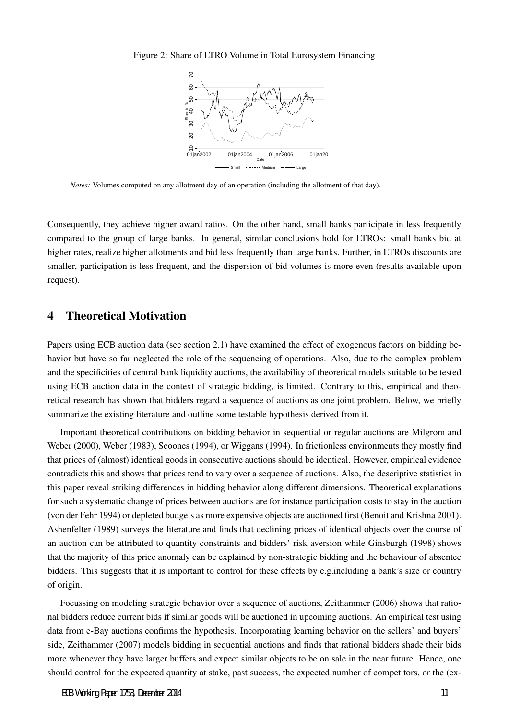### Figure 2: Share of LTRO Volume in Total Eurosystem Financing



*Notes:* Volumes computed on any allotment day of an operation (including the allotment of that day).

Consequently, they achieve higher award ratios. On the other hand, small banks participate in less frequently compared to the group of large banks. In general, similar conclusions hold for LTROs: small banks bid at higher rates, realize higher allotments and bid less frequently than large banks. Further, in LTROs discounts are smaller, participation is less frequent, and the dispersion of bid volumes is more even (results available upon request).

### 4 Theoretical Motivation

Papers using ECB auction data (see section 2.1) have examined the effect of exogenous factors on bidding behavior but have so far neglected the role of the sequencing of operations. Also, due to the complex problem and the specificities of central bank liquidity auctions, the availability of theoretical models suitable to be tested using ECB auction data in the context of strategic bidding, is limited. Contrary to this, empirical and theoretical research has shown that bidders regard a sequence of auctions as one joint problem. Below, we briefly summarize the existing literature and outline some testable hypothesis derived from it.

Important theoretical contributions on bidding behavior in sequential or regular auctions are Milgrom and Weber (2000), Weber (1983), Scoones (1994), or Wiggans (1994). In frictionless environments they mostly find that prices of (almost) identical goods in consecutive auctions should be identical. However, empirical evidence contradicts this and shows that prices tend to vary over a sequence of auctions. Also, the descriptive statistics in this paper reveal striking differences in bidding behavior along different dimensions. Theoretical explanations for such a systematic change of prices between auctions are for instance participation costs to stay in the auction (von der Fehr 1994) or depleted budgets as more expensive objects are auctioned first (Benoit and Krishna 2001). Ashenfelter (1989) surveys the literature and finds that declining prices of identical objects over the course of an auction can be attributed to quantity constraints and bidders' risk aversion while Ginsburgh (1998) shows that the majority of this price anomaly can be explained by non-strategic bidding and the behaviour of absentee bidders. This suggests that it is important to control for these effects by e.g.including a bank's size or country of origin.

Focussing on modeling strategic behavior over a sequence of auctions, Zeithammer (2006) shows that rational bidders reduce current bids if similar goods will be auctioned in upcoming auctions. An empirical test using data from e-Bay auctions confirms the hypothesis. Incorporating learning behavior on the sellers' and buyers' side, Zeithammer (2007) models bidding in sequential auctions and finds that rational bidders shade their bids more whenever they have larger buffers and expect similar objects to be on sale in the near future. Hence, one should control for the expected quantity at stake, past success, the expected number of competitors, or the (ex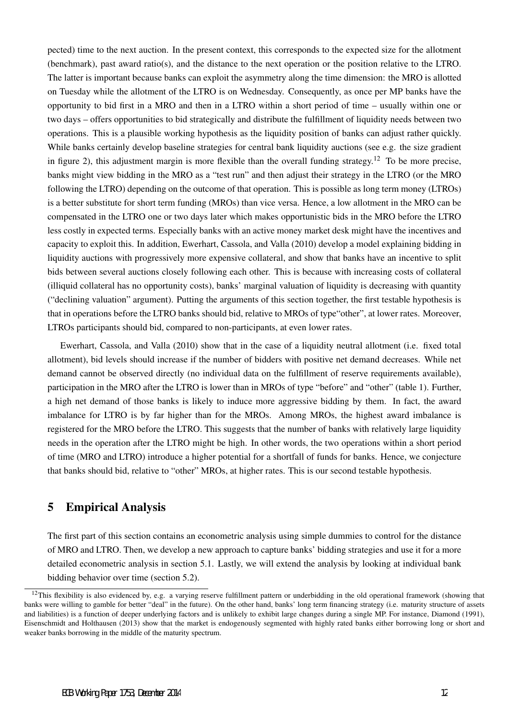pected) time to the next auction. In the present context, this corresponds to the expected size for the allotment (benchmark), past award ratio(s), and the distance to the next operation or the position relative to the LTRO. The latter is important because banks can exploit the asymmetry along the time dimension: the MRO is allotted on Tuesday while the allotment of the LTRO is on Wednesday. Consequently, as once per MP banks have the opportunity to bid first in a MRO and then in a LTRO within a short period of time – usually within one or two days – offers opportunities to bid strategically and distribute the fulfillment of liquidity needs between two operations. This is a plausible working hypothesis as the liquidity position of banks can adjust rather quickly. While banks certainly develop baseline strategies for central bank liquidity auctions (see e.g. the size gradient in figure 2), this adjustment margin is more flexible than the overall funding strategy.<sup>12</sup> To be more precise, banks might view bidding in the MRO as a "test run" and then adjust their strategy in the LTRO (or the MRO following the LTRO) depending on the outcome of that operation. This is possible as long term money (LTROs) is a better substitute for short term funding (MROs) than vice versa. Hence, a low allotment in the MRO can be compensated in the LTRO one or two days later which makes opportunistic bids in the MRO before the LTRO less costly in expected terms. Especially banks with an active money market desk might have the incentives and capacity to exploit this. In addition, Ewerhart, Cassola, and Valla (2010) develop a model explaining bidding in liquidity auctions with progressively more expensive collateral, and show that banks have an incentive to split bids between several auctions closely following each other. This is because with increasing costs of collateral (illiquid collateral has no opportunity costs), banks' marginal valuation of liquidity is decreasing with quantity ("declining valuation" argument). Putting the arguments of this section together, the first testable hypothesis is that in operations before the LTRO banks should bid, relative to MROs of type"other", at lower rates. Moreover, LTROs participants should bid, compared to non-participants, at even lower rates.

Ewerhart, Cassola, and Valla (2010) show that in the case of a liquidity neutral allotment (i.e. fixed total allotment), bid levels should increase if the number of bidders with positive net demand decreases. While net demand cannot be observed directly (no individual data on the fulfillment of reserve requirements available), participation in the MRO after the LTRO is lower than in MROs of type "before" and "other" (table 1). Further, a high net demand of those banks is likely to induce more aggressive bidding by them. In fact, the award imbalance for LTRO is by far higher than for the MROs. Among MROs, the highest award imbalance is registered for the MRO before the LTRO. This suggests that the number of banks with relatively large liquidity needs in the operation after the LTRO might be high. In other words, the two operations within a short period of time (MRO and LTRO) introduce a higher potential for a shortfall of funds for banks. Hence, we conjecture that banks should bid, relative to "other" MROs, at higher rates. This is our second testable hypothesis.

# 5 Empirical Analysis

The first part of this section contains an econometric analysis using simple dummies to control for the distance of MRO and LTRO. Then, we develop a new approach to capture banks' bidding strategies and use it for a more detailed econometric analysis in section 5.1. Lastly, we will extend the analysis by looking at individual bank bidding behavior over time (section 5.2).

<sup>&</sup>lt;sup>12</sup>This flexibility is also evidenced by, e.g. a varying reserve fulfillment pattern or underbidding in the old operational framework (showing that banks were willing to gamble for better "deal" in the future). On the other hand, banks' long term financing strategy (i.e. maturity structure of assets and liabilities) is a function of deeper underlying factors and is unlikely to exhibit large changes during a single MP. For instance, Diamond (1991), Eisenschmidt and Holthausen (2013) show that the market is endogenously segmented with highly rated banks either borrowing long or short and weaker banks borrowing in the middle of the maturity spectrum.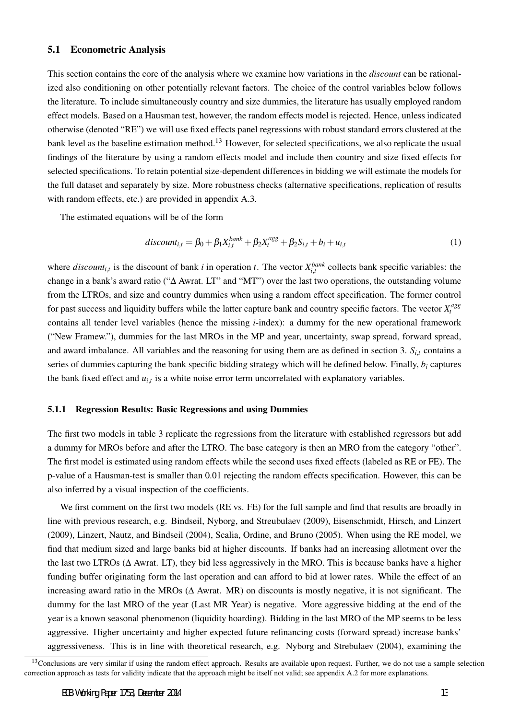### 5.1 Econometric Analysis

This section contains the core of the analysis where we examine how variations in the *discount* can be rationalized also conditioning on other potentially relevant factors. The choice of the control variables below follows the literature. To include simultaneously country and size dummies, the literature has usually employed random effect models. Based on a Hausman test, however, the random effects model is rejected. Hence, unless indicated otherwise (denoted "RE") we will use fixed effects panel regressions with robust standard errors clustered at the bank level as the baseline estimation method.<sup>13</sup> However, for selected specifications, we also replicate the usual findings of the literature by using a random effects model and include then country and size fixed effects for selected specifications. To retain potential size-dependent differences in bidding we will estimate the models for the full dataset and separately by size. More robustness checks (alternative specifications, replication of results with random effects, etc.) are provided in appendix A.3.

The estimated equations will be of the form

$$
discount_{i,t} = \beta_0 + \beta_1 X_{i,t}^{bank} + \beta_2 X_t^{agg} + \beta_2 S_{i,t} + b_i + u_{i,t}
$$
\n(1)

where *discount<sub>i,t</sub>* is the discount of bank *i* in operation *t*. The vector  $X_{i,t}^{bank}$  collects bank specific variables: the change in a bank's award ratio ("∆ Awrat. LT" and "MT") over the last two operations, the outstanding volume from the LTROs, and size and country dummies when using a random effect specification. The former control for past success and liquidity buffers while the latter capture bank and country specific factors. The vector  $X_t^{ags}$ contains all tender level variables (hence the missing *i*-index): a dummy for the new operational framework ("New Framew."), dummies for the last MROs in the MP and year, uncertainty, swap spread, forward spread, and award imbalance. All variables and the reasoning for using them are as defined in section 3.  $S_{i,t}$  contains a series of dummies capturing the bank specific bidding strategy which will be defined below. Finally, *b<sup>i</sup>* captures the bank fixed effect and *ui,<sup>t</sup>* is a white noise error term uncorrelated with explanatory variables.

### 5.1.1 Regression Results: Basic Regressions and using Dummies

The first two models in table 3 replicate the regressions from the literature with established regressors but add a dummy for MROs before and after the LTRO. The base category is then an MRO from the category "other". The first model is estimated using random effects while the second uses fixed effects (labeled as RE or FE). The p-value of a Hausman-test is smaller than 0.01 rejecting the random effects specification. However, this can be also inferred by a visual inspection of the coefficients.

We first comment on the first two models (RE vs. FE) for the full sample and find that results are broadly in line with previous research, e.g. Bindseil, Nyborg, and Streubulaev (2009), Eisenschmidt, Hirsch, and Linzert (2009), Linzert, Nautz, and Bindseil (2004), Scalia, Ordine, and Bruno (2005). When using the RE model, we find that medium sized and large banks bid at higher discounts. If banks had an increasing allotment over the the last two LTROs ( $\Delta$  Awrat. LT), they bid less aggressively in the MRO. This is because banks have a higher funding buffer originating form the last operation and can afford to bid at lower rates. While the effect of an increasing award ratio in the MROs (∆ Awrat. MR) on discounts is mostly negative, it is not significant. The dummy for the last MRO of the year (Last MR Year) is negative. More aggressive bidding at the end of the year is a known seasonal phenomenon (liquidity hoarding). Bidding in the last MRO of the MP seems to be less aggressive. Higher uncertainty and higher expected future refinancing costs (forward spread) increase banks' aggressiveness. This is in line with theoretical research, e.g. Nyborg and Strebulaev (2004), examining the

 $13$ Conclusions are very similar if using the random effect approach. Results are available upon request. Further, we do not use a sample selection correction approach as tests for validity indicate that the approach might be itself not valid; see appendix A.2 for more explanations.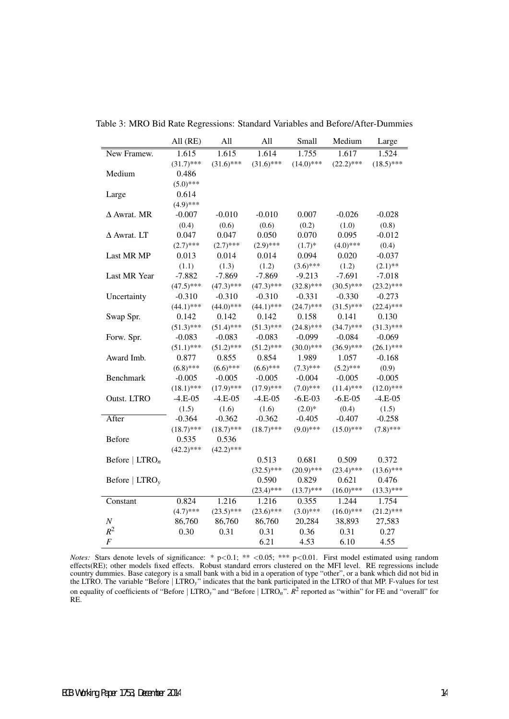|                            | All (RE)     | All          | All          | Small        | Medium       | Large        |
|----------------------------|--------------|--------------|--------------|--------------|--------------|--------------|
| New Framew.                | 1.615        | 1.615        | 1.614        | 1.755        | 1.617        | 1.524        |
|                            | $(31.7)$ *** | $(31.6)$ *** | $(31.6)$ *** | $(14.0)$ *** | $(22.2)$ *** | $(18.5)$ *** |
| Medium                     | 0.486        |              |              |              |              |              |
|                            | $(5.0)$ ***  |              |              |              |              |              |
| Large                      | 0.614        |              |              |              |              |              |
|                            | $(4.9)$ ***  |              |              |              |              |              |
| $\Delta$ Awrat. MR         | $-0.007$     | $-0.010$     | $-0.010$     | 0.007        | $-0.026$     | $-0.028$     |
|                            | (0.4)        | (0.6)        | (0.6)        | (0.2)        | (1.0)        | (0.8)        |
| $\Delta$ Awrat. LT         | 0.047        | 0.047        | 0.050        | 0.070        | 0.095        | $-0.012$     |
|                            | $(2.7)$ ***  | $(2.7)$ ***  | $(2.9)$ ***  | $(1.7)$ *    | $(4.0)$ ***  | (0.4)        |
| Last MR MP                 | 0.013        | 0.014        | 0.014        | 0.094        | 0.020        | $-0.037$     |
|                            | (1.1)        | (1.3)        | (1.2)        | $(3.6)$ ***  | (1.2)        | $(2.1)$ **   |
| Last MR Year               | $-7.882$     | $-7.869$     | $-7.869$     | $-9.213$     | $-7.691$     | $-7.018$     |
|                            | $(47.5)$ *** | $(47.3)$ *** | $(47.3)$ *** | $(32.8)$ *** | $(30.5)$ *** | $(23.2)$ *** |
| Uncertainty                | $-0.310$     | $-0.310$     | $-0.310$     | $-0.331$     | $-0.330$     | $-0.273$     |
|                            | $(44.1)$ *** | $(44.0)$ *** | $(44.1)$ *** | $(24.7)$ *** | $(31.5)$ *** | $(22.4)$ *** |
| Swap Spr.                  | 0.142        | 0.142        | 0.142        | 0.158        | 0.141        | 0.130        |
|                            | $(51.3)$ *** | $(51.4)$ *** | $(51.3)$ *** | $(24.8)$ *** | $(34.7)$ *** | $(31.3)$ *** |
| Forw. Spr.                 | $-0.083$     | $-0.083$     | $-0.083$     | $-0.099$     | $-0.084$     | $-0.069$     |
|                            | $(51.1)$ *** | $(51.2)$ *** | $(51.2)$ *** | $(30.0)$ *** | $(36.9)$ *** | $(26.1)$ *** |
| Award Imb.                 | 0.877        | 0.855        | 0.854        | 1.989        | 1.057        | $-0.168$     |
|                            | $(6.8)$ ***  | $(6.6)$ ***  | $(6.6)$ ***  | $(7.3)$ ***  | $(5.2)$ ***  | (0.9)        |
| <b>Benchmark</b>           | $-0.005$     | $-0.005$     | $-0.005$     | $-0.004$     | $-0.005$     | $-0.005$     |
|                            | $(18.1)$ *** | $(17.9)$ *** | $(17.9)$ *** | $(7.0)$ ***  | $(11.4)$ *** | $(12.0)$ *** |
| Outst. LTRO                | $-4.E-05$    | $-4.E-05$    | $-4.E-05$    | $-6.E-03$    | $-6.E-05$    | $-4.E-05$    |
|                            | (1.5)        | (1.6)        | (1.6)        | $(2.0)*$     | (0.4)        | (1.5)        |
| After                      | $-0.364$     | $-0.362$     | $-0.362$     | $-0.405$     | $-0.407$     | $-0.258$     |
|                            | $(18.7)$ *** | $(18.7)$ *** | $(18.7)$ *** | $(9.0)$ ***  | $(15.0)$ *** | $(7.8)$ ***  |
| <b>Before</b>              | 0.535        | 0.536        |              |              |              |              |
|                            | $(42.2)$ *** | $(42.2)$ *** |              |              |              |              |
| Before   $LTRO_n$          |              |              | 0.513        | 0.681        | 0.509        | 0.372        |
|                            |              |              | $(32.5)$ *** | $(20.9)$ *** | $(23.4)$ *** | $(13.6)$ *** |
| Before $ \text{LTRO}_{v} $ |              |              | 0.590        | 0.829        | 0.621        | 0.476        |
|                            |              |              | $(23.4)$ *** | $(13.7)$ *** | $(16.0)$ *** | $(13.3)$ *** |
| Constant                   | 0.824        | 1.216        | 1.216        | 0.355        | 1.244        | 1.754        |
|                            | $(4.7)$ ***  | $(23.5)$ *** | $(23.6)$ *** | $(3.0)$ ***  | $(16.0)$ *** | $(21.2)$ *** |
| $\cal N$                   | 86,760       | 86,760       | 86,760       | 20,284       | 38,893       | 27,583       |
| $R^2$                      | 0.30         | 0.31         | 0.31         | 0.36         | 0.31         | 0.27         |
| $\boldsymbol{F}$           |              |              | 6.21         | 4.53         | 6.10         | 4.55         |

Table 3: MRO Bid Rate Regressions: Standard Variables and Before/After-Dummies

*Notes:* Stars denote levels of significance: \* p*<*0.1; \*\* *<*0.05; \*\*\* p*<*0.01. First model estimated using random effects(RE); other models fixed effects. Robust standard errors clustered on the MFI level. RE regressions include country dummies. Base category is a small bank with a bid in a operation of type "other", or a bank which did not bid in the LTRO. The variable "Before *|* LTRO*y*" indicates that the bank participated in the LTRO of that MP. F-values for test on equality of coefficients of "Before *|* LTRO*y*" and "Before *|* LTRO*n*". *R* 2 reported as "within" for FE and "overall" for RE.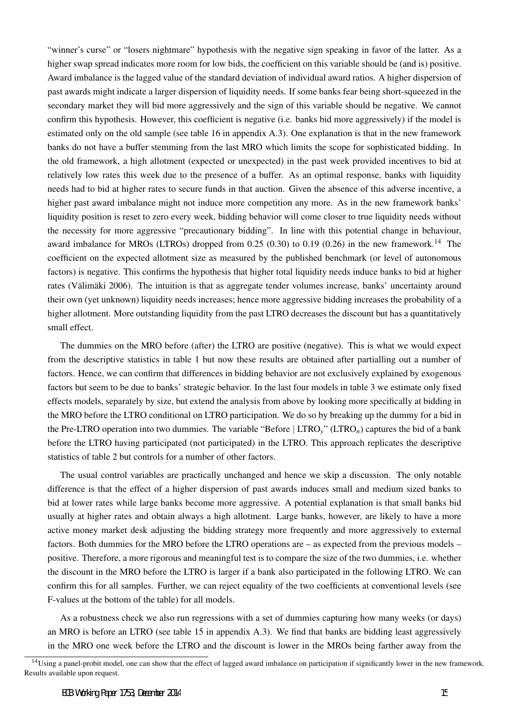"winner's curse" or "losers nightmare" hypothesis with the negative sign speaking in favor of the latter. As a higher swap spread indicates more room for low bids, the coefficient on this variable should be (and is) positive. Award imbalance is the lagged value of the standard deviation of individual award ratios. A higher dispersion of past awards might indicate a larger dispersion of liquidity needs. If some banks fear being short-squeezed in the secondary market they will bid more aggressively and the sign of this variable should be negative. We cannot confirm this hypothesis. However, this coefficient is negative (i.e. banks bid more aggressively) if the model is estimated only on the old sample (see table 16 in appendix A.3). One explanation is that in the new framework banks do not have a buffer stemming from the last MRO which limits the scope for sophisticated bidding. In the old framework, a high allotment (expected or unexpected) in the past week provided incentives to bid at relatively low rates this week due to the presence of a buffer. As an optimal response, banks with liquidity needs had to bid at higher rates to secure funds in that auction. Given the absence of this adverse incentive, a higher past award imbalance might not induce more competition any more. As in the new framework banks' liquidity position is reset to zero every week, bidding behavior will come closer to true liquidity needs without the necessity for more aggressive "precautionary bidding". In line with this potential change in behaviour, award imbalance for MROs (LTROs) dropped from  $0.25$  (0.30) to 0.19 (0.26) in the new framework.<sup>14</sup> The coefficient on the expected allotment size as measured by the published benchmark (or level of autonomous factors) is negative. This confirms the hypothesis that higher total liquidity needs induce banks to bid at higher rates (Välimäki 2006). The intuition is that as aggregate tender volumes increase, banks' uncertainty around their own (yet unknown) liquidity needs increases; hence more aggressive bidding increases the probability of a higher allotment. More outstanding liquidity from the past LTRO decreases the discount but has a quantitatively small effect.

The dummies on the MRO before (after) the LTRO are positive (negative). This is what we would expect from the descriptive statistics in table 1 but now these results are obtained after partialling out a number of factors. Hence, we can confirm that differences in bidding behavior are not exclusively explained by exogenous factors but seem to be due to banks' strategic behavior. In the last four models in table 3 we estimate only fixed effects models, separately by size, but extend the analysis from above by looking more specifically at bidding in the MRO before the LTRO conditional on LTRO participation. We do so by breaking up the dummy for a bid in the Pre-LTRO operation into two dummies. The variable "Before *|* LTRO*y*" (LTRO*n*) captures the bid of a bank before the LTRO having participated (not participated) in the LTRO. This approach replicates the descriptive statistics of table 2 but controls for a number of other factors.

The usual control variables are practically unchanged and hence we skip a discussion. The only notable difference is that the effect of a higher dispersion of past awards induces small and medium sized banks to bid at lower rates while large banks become more aggressive. A potential explanation is that small banks bid usually at higher rates and obtain always a high allotment. Large banks, however, are likely to have a more active money market desk adjusting the bidding strategy more frequently and more aggressively to external factors. Both dummies for the MRO before the LTRO operations are – as expected from the previous models – positive. Therefore, a more rigorous and meaningful test is to compare the size of the two dummies, i.e. whether the discount in the MRO before the LTRO is larger if a bank also participated in the following LTRO. We can confirm this for all samples. Further, we can reject equality of the two coefficients at conventional levels (see F-values at the bottom of the table) for all models.

As a robustness check we also run regressions with a set of dummies capturing how many weeks (or days) an MRO is before an LTRO (see table 15 in appendix A.3). We find that banks are bidding least aggressively in the MRO one week before the LTRO and the discount is lower in the MROs being farther away from the

 $14$ Using a panel-probit model, one can show that the effect of lagged award imbalance on participation if significantly lower in the new framework. Results available upon request.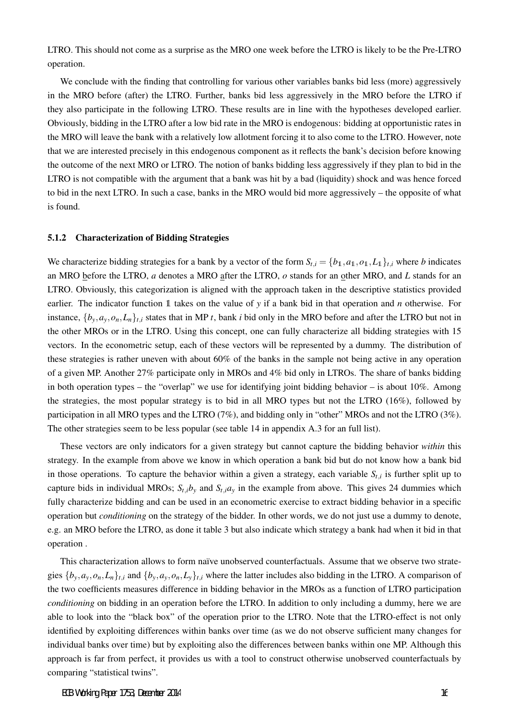LTRO. This should not come as a surprise as the MRO one week before the LTRO is likely to be the Pre-LTRO operation.

We conclude with the finding that controlling for various other variables banks bid less (more) aggressively in the MRO before (after) the LTRO. Further, banks bid less aggressively in the MRO before the LTRO if they also participate in the following LTRO. These results are in line with the hypotheses developed earlier. Obviously, bidding in the LTRO after a low bid rate in the MRO is endogenous: bidding at opportunistic rates in the MRO will leave the bank with a relatively low allotment forcing it to also come to the LTRO. However, note that we are interested precisely in this endogenous component as it reflects the bank's decision before knowing the outcome of the next MRO or LTRO. The notion of banks bidding less aggressively if they plan to bid in the LTRO is not compatible with the argument that a bank was hit by a bad (liquidity) shock and was hence forced to bid in the next LTRO. In such a case, banks in the MRO would bid more aggressively – the opposite of what is found.

### 5.1.2 Characterization of Bidding Strategies

We characterize bidding strategies for a bank by a vector of the form  $S_{t,i} = \{b_1, a_1, o_1, L_1\}_{t,i}$  where b indicates an MRO before the LTRO, *a* denotes a MRO after the LTRO, *o* stands for an other MRO, and *L* stands for an LTRO. Obviously, this categorization is aligned with the approach taken in the descriptive statistics provided earlier. The indicator function 1 takes on the value of *y* if a bank bid in that operation and *n* otherwise. For instance,  $\{b_v, a_v, o_n, L_n\}_{t,i}$  states that in MP t, bank i bid only in the MRO before and after the LTRO but not in the other MROs or in the LTRO. Using this concept, one can fully characterize all bidding strategies with 15 vectors. In the econometric setup, each of these vectors will be represented by a dummy. The distribution of these strategies is rather uneven with about 60% of the banks in the sample not being active in any operation of a given MP. Another 27% participate only in MROs and 4% bid only in LTROs. The share of banks bidding in both operation types – the "overlap" we use for identifying joint bidding behavior – is about 10%. Among the strategies, the most popular strategy is to bid in all MRO types but not the LTRO (16%), followed by participation in all MRO types and the LTRO (7%), and bidding only in "other" MROs and not the LTRO (3%). The other strategies seem to be less popular (see table 14 in appendix A.3 for an full list).

These vectors are only indicators for a given strategy but cannot capture the bidding behavior *within* this strategy. In the example from above we know in which operation a bank bid but do not know how a bank bid in those operations. To capture the behavior within a given a strategy, each variable  $S_{t,i}$  is further split up to capture bids in individual MROs;  $S_{t,i}b_y$  and  $S_{t,i}a_y$  in the example from above. This gives 24 dummies which fully characterize bidding and can be used in an econometric exercise to extract bidding behavior in a specific operation but *conditioning* on the strategy of the bidder. In other words, we do not just use a dummy to denote, e.g. an MRO before the LTRO, as done it table 3 but also indicate which strategy a bank had when it bid in that operation .

This characterization allows to form naïve unobserved counterfactuals. Assume that we observe two strategies  $\{b_v, a_v, o_n, L_n\}_{t,i}$  and  $\{b_v, a_v, o_n, L_v\}_{t,i}$  where the latter includes also bidding in the LTRO. A comparison of the two coefficients measures difference in bidding behavior in the MROs as a function of LTRO participation *conditioning* on bidding in an operation before the LTRO. In addition to only including a dummy, here we are able to look into the "black box" of the operation prior to the LTRO. Note that the LTRO-effect is not only identified by exploiting differences within banks over time (as we do not observe sufficient many changes for individual banks over time) but by exploiting also the differences between banks within one MP. Although this approach is far from perfect, it provides us with a tool to construct otherwise unobserved counterfactuals by comparing "statistical twins".

ECB Working Paper 1753, December 2014 16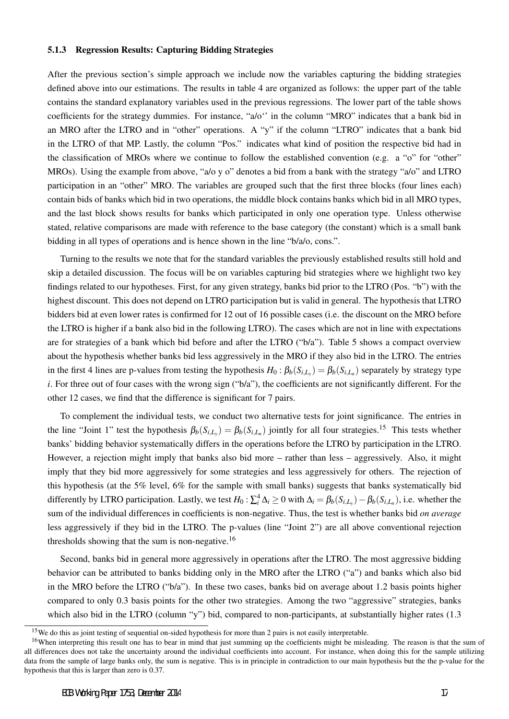### 5.1.3 Regression Results: Capturing Bidding Strategies

After the previous section's simple approach we include now the variables capturing the bidding strategies defined above into our estimations. The results in table 4 are organized as follows: the upper part of the table contains the standard explanatory variables used in the previous regressions. The lower part of the table shows coefficients for the strategy dummies. For instance, "a/o'' in the column "MRO" indicates that a bank bid in an MRO after the LTRO and in "other" operations. A "y" if the column "LTRO" indicates that a bank bid in the LTRO of that MP. Lastly, the column "Pos." indicates what kind of position the respective bid had in the classification of MROs where we continue to follow the established convention (e.g. a "o" for "other" MROs). Using the example from above, "a/o y o" denotes a bid from a bank with the strategy "a/o" and LTRO participation in an "other" MRO. The variables are grouped such that the first three blocks (four lines each) contain bids of banks which bid in two operations, the middle block contains banks which bid in all MRO types, and the last block shows results for banks which participated in only one operation type. Unless otherwise stated, relative comparisons are made with reference to the base category (the constant) which is a small bank bidding in all types of operations and is hence shown in the line "b/a/o, cons.".

Turning to the results we note that for the standard variables the previously established results still hold and skip a detailed discussion. The focus will be on variables capturing bid strategies where we highlight two key findings related to our hypotheses. First, for any given strategy, banks bid prior to the LTRO (Pos. "b") with the highest discount. This does not depend on LTRO participation but is valid in general. The hypothesis that LTRO bidders bid at even lower rates is confirmed for 12 out of 16 possible cases (i.e. the discount on the MRO before the LTRO is higher if a bank also bid in the following LTRO). The cases which are not in line with expectations are for strategies of a bank which bid before and after the LTRO ("b/a"). Table 5 shows a compact overview about the hypothesis whether banks bid less aggressively in the MRO if they also bid in the LTRO. The entries in the first 4 lines are p-values from testing the hypothesis  $H_0: \beta_b(S_{i,L_y}) = \beta_b(S_{i,L_n})$  separately by strategy type *i*. For three out of four cases with the wrong sign ("b/a"), the coefficients are not significantly different. For the other 12 cases, we find that the difference is significant for 7 pairs.

To complement the individual tests, we conduct two alternative tests for joint significance. The entries in the line "Joint 1" test the hypothesis  $\beta_b(S_{i,L_y}) = \beta_b(S_{i,L_n})$  jointly for all four strategies.<sup>15</sup> This tests whether banks' bidding behavior systematically differs in the operations before the LTRO by participation in the LTRO. However, a rejection might imply that banks also bid more – rather than less – aggressively. Also, it might imply that they bid more aggressively for some strategies and less aggressively for others. The rejection of this hypothesis (at the 5% level, 6% for the sample with small banks) suggests that banks systematically bid differently by LTRO participation. Lastly, we test  $H_0$  :  $\sum_i^4 \Delta_i \ge 0$  with  $\Delta_i = \beta_b(S_{i,L_y}) - \beta_b(S_{i,L_n})$ , i.e. whether the sum of the individual differences in coefficients is non-negative. Thus, the test is whether banks bid *on average* less aggressively if they bid in the LTRO. The p-values (line "Joint 2") are all above conventional rejection thresholds showing that the sum is non-negative.<sup>16</sup>

Second, banks bid in general more aggressively in operations after the LTRO. The most aggressive bidding behavior can be attributed to banks bidding only in the MRO after the LTRO ("a") and banks which also bid in the MRO before the LTRO ("b/a"). In these two cases, banks bid on average about 1.2 basis points higher compared to only 0.3 basis points for the other two strategies. Among the two "aggressive" strategies, banks which also bid in the LTRO (column "y") bid, compared to non-participants, at substantially higher rates (1.3)

<sup>&</sup>lt;sup>15</sup>We do this as joint testing of sequential on-sided hypothesis for more than 2 pairs is not easily interpretable.

<sup>&</sup>lt;sup>16</sup>When interpreting this result one has to bear in mind that just summing up the coefficients might be misleading. The reason is that the sum of all differences does not take the uncertainty around the individual coefficients into account. For instance, when doing this for the sample utilizing data from the sample of large banks only, the sum is negative. This is in principle in contradiction to our main hypothesis but the the p-value for the hypothesis that this is larger than zero is 0.37.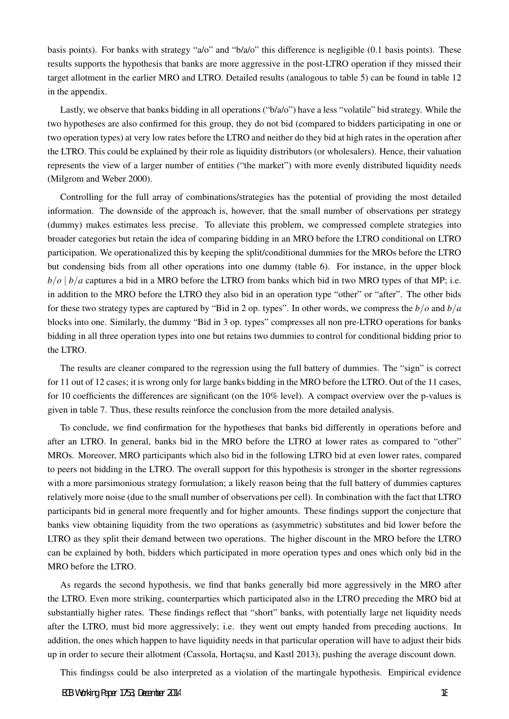basis points). For banks with strategy "a/o" and "b/a/o" this difference is negligible (0.1 basis points). These results supports the hypothesis that banks are more aggressive in the post-LTRO operation if they missed their target allotment in the earlier MRO and LTRO. Detailed results (analogous to table 5) can be found in table 12 in the appendix.

Lastly, we observe that banks bidding in all operations ("b/a/o") have a less "volatile" bid strategy. While the two hypotheses are also confirmed for this group, they do not bid (compared to bidders participating in one or two operation types) at very low rates before the LTRO and neither do they bid at high rates in the operation after the LTRO. This could be explained by their role as liquidity distributors (or wholesalers). Hence, their valuation represents the view of a larger number of entities ("the market") with more evenly distributed liquidity needs (Milgrom and Weber 2000).

Controlling for the full array of combinations/strategies has the potential of providing the most detailed information. The downside of the approach is, however, that the small number of observations per strategy (dummy) makes estimates less precise. To alleviate this problem, we compressed complete strategies into broader categories but retain the idea of comparing bidding in an MRO before the LTRO conditional on LTRO participation. We operationalized this by keeping the split/conditional dummies for the MROs before the LTRO but condensing bids from all other operations into one dummy (table 6). For instance, in the upper block  $b$ / $o$   $|b/a$  captures a bid in a MRO before the LTRO from banks which bid in two MRO types of that MP; i.e. in addition to the MRO before the LTRO they also bid in an operation type "other" or "after". The other bids for these two strategy types are captured by "Bid in 2 op. types". In other words, we compress the *b/o* and *b/a* blocks into one. Similarly, the dummy "Bid in 3 op. types" compresses all non pre-LTRO operations for banks bidding in all three operation types into one but retains two dummies to control for conditional bidding prior to the LTRO.

The results are cleaner compared to the regression using the full battery of dummies. The "sign" is correct for 11 out of 12 cases; it is wrong only for large banks bidding in the MRO before the LTRO. Out of the 11 cases, for 10 coefficients the differences are significant (on the 10% level). A compact overview over the p-values is given in table 7. Thus, these results reinforce the conclusion from the more detailed analysis.

To conclude, we find confirmation for the hypotheses that banks bid differently in operations before and after an LTRO. In general, banks bid in the MRO before the LTRO at lower rates as compared to "other" MROs. Moreover, MRO participants which also bid in the following LTRO bid at even lower rates, compared to peers not bidding in the LTRO. The overall support for this hypothesis is stronger in the shorter regressions with a more parsimonious strategy formulation; a likely reason being that the full battery of dummies captures relatively more noise (due to the small number of observations per cell). In combination with the fact that LTRO participants bid in general more frequently and for higher amounts. These findings support the conjecture that banks view obtaining liquidity from the two operations as (asymmetric) substitutes and bid lower before the LTRO as they split their demand between two operations. The higher discount in the MRO before the LTRO can be explained by both, bidders which participated in more operation types and ones which only bid in the MRO before the LTRO.

As regards the second hypothesis, we find that banks generally bid more aggressively in the MRO after the LTRO. Even more striking, counterparties which participated also in the LTRO preceding the MRO bid at substantially higher rates. These findings reflect that "short" banks, with potentially large net liquidity needs after the LTRO, must bid more aggressively; i.e. they went out empty handed from preceding auctions. In addition, the ones which happen to have liquidity needs in that particular operation will have to adjust their bids up in order to secure their allotment (Cassola, Hortaçsu, and Kastl 2013), pushing the average discount down.

This findingss could be also interpreted as a violation of the martingale hypothesis. Empirical evidence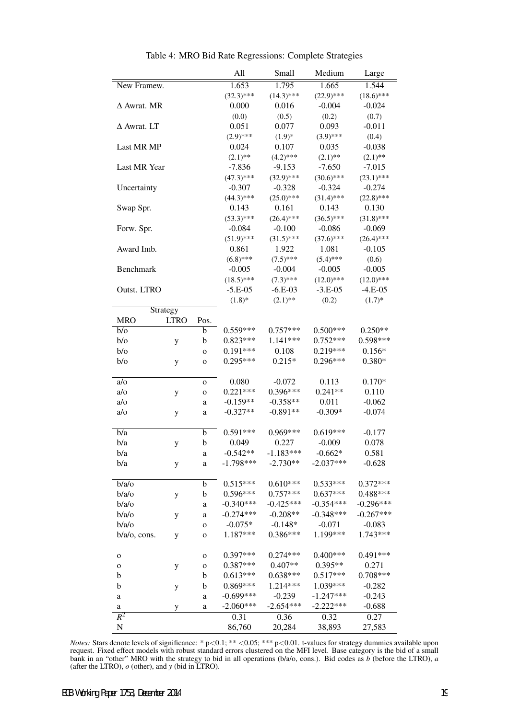|                    |             |             | All          | Small        | Medium       | Large        |
|--------------------|-------------|-------------|--------------|--------------|--------------|--------------|
| New Framew.        |             |             | 1.653        | 1.795        | 1.665        | 1.544        |
|                    |             |             | $(32.3)$ *** | $(14.3)$ *** | $(22.9)$ *** | $(18.6)$ *** |
| $\Delta$ Awrat. MR |             |             | 0.000        | 0.016        | $-0.004$     | $-0.024$     |
|                    |             |             | (0.0)        | (0.5)        | (0.2)        | (0.7)        |
| $\Delta$ Awrat. LT |             |             | 0.051        | 0.077        | 0.093        | $-0.011$     |
|                    |             |             | $(2.9)$ ***  | $(1.9)*$     | $(3.9)$ ***  | (0.4)        |
| Last MR MP         |             |             | 0.024        | 0.107        | 0.035        | $-0.038$     |
|                    |             |             | $(2.1)$ **   | $(4.2)$ ***  | $(2.1)$ **   | $(2.1)$ **   |
| Last MR Year       |             |             | $-7.836$     | $-9.153$     | $-7.650$     | $-7.015$     |
|                    |             |             | $(47.3)$ *** | $(32.9)$ *** | $(30.6)$ *** | $(23.1)$ *** |
| Uncertainty        |             |             | $-0.307$     | $-0.328$     | $-0.324$     | $-0.274$     |
|                    |             |             | $(44.3)$ *** | $(25.0)$ *** | $(31.4)$ *** | $(22.8)$ *** |
| Swap Spr.          |             |             | 0.143        | 0.161        | 0.143        | 0.130        |
|                    |             |             | $(53.3)$ *** | $(26.4)$ *** | $(36.5)$ *** | $(31.8)$ *** |
| Forw. Spr.         |             |             | $-0.084$     | $-0.100$     | $-0.086$     | $-0.069$     |
|                    |             |             | $(51.9)$ *** | $(31.5)$ *** | $(37.6)$ *** | $(26.4)$ *** |
| Award Imb.         |             |             | 0.861        | 1.922        | 1.081        | $-0.105$     |
|                    |             |             | $(6.8)$ ***  | $(7.5)$ ***  | $(5.4)$ ***  | (0.6)        |
| Benchmark          |             |             | $-0.005$     | $-0.004$     | $-0.005$     | $-0.005$     |
|                    |             |             | $(18.5)$ *** | $(7.3)$ ***  | $(12.0)$ *** | $(12.0)$ *** |
| Outst. LTRO        |             |             | $-5.E-05$    | $-6.E-03$    | $-3.E-05$    | $-4.E-05$    |
|                    |             |             | $(1.8)$ *    | $(2.1)$ **   | (0.2)        | $(1.7)*$     |
|                    | Strategy    |             |              |              |              |              |
| <b>MRO</b>         | <b>LTRO</b> | Pos.        |              |              |              |              |
| $b$ /o             |             | b           | $0.559***$   | $0.757***$   | $0.500***$   | $0.250**$    |
| $b$ /o             | y           | b           | $0.823***$   | $1.141***$   | $0.752***$   | $0.598***$   |
| $b$ /o             |             | $\mathbf O$ | $0.191***$   | 0.108        | $0.219***$   | $0.156*$     |
| $b$ /o             | y           | $\mathbf 0$ | 0.295***     | $0.215*$     | $0.296***$   | $0.380*$     |
|                    |             |             |              |              |              |              |
| a/o                |             | $\mathbf 0$ | 0.080        | $-0.072$     | 0.113        | $0.170*$     |
| a/o                | y           | $\mathbf O$ | $0.221***$   | $0.396***$   | $0.241**$    | 0.110        |
| a/o                |             | a           | $-0.159**$   | $-0.358**$   | 0.011        | $-0.062$     |
| a/o                | y           | a           | $-0.327**$   | $-0.891**$   | $-0.309*$    | $-0.074$     |
|                    |             |             |              |              |              |              |
| b/a                |             | b           | $0.591***$   | 0.969***     | $0.619***$   | $-0.177$     |
| b/a                | y           | b           | 0.049        | 0.227        | $-0.009$     | 0.078        |
| b/a                |             | a           | $-0.542**$   | $-1.183***$  | $-0.662*$    | 0.581        |
| b/a                | y           | a           | $-1.798***$  | $-2.730**$   | $-2.037***$  | $-0.628$     |
|                    |             |             |              |              |              |              |
| b/a/o              |             | b           | $0.515***$   | $0.610***$   | $0.533***$   | $0.372***$   |
| b/a/o              | у           | b           | $0.596***$   | $0.757***$   | $0.637***$   | $0.488***$   |
| b/a/o              |             | a           | $-0.340***$  | $-0.425***$  | $-0.354***$  | $-0.296***$  |
| b/a/o              | у           | a           | $-0.274***$  | $-0.208**$   | $-0.348***$  | $-0.267***$  |
| b/a/o              |             | $\mathbf O$ | $-0.075*$    | $-0.148*$    | $-0.071$     | $-0.083$     |
| $b/a/o$ , cons.    | y           | o           | 1.187***     | $0.386***$   | 1.199***     | $1.743***$   |
|                    |             |             |              |              |              |              |
| o                  |             | o           | $0.397***$   | $0.274***$   | $0.400***$   | $0.491***$   |
| $\mathbf O$        | у           | 0           | $0.387***$   | $0.407**$    | 0.395**      | 0.271        |
| b                  |             | b           | $0.613***$   | $0.638***$   | $0.517***$   | $0.708***$   |
| b                  | ${\bf y}$   | b           | $0.869***$   | 1.214***     | 1.039***     | $-0.282$     |
| a                  |             | a           | $-0.699***$  | $-0.239$     | $-1.247***$  | $-0.243$     |
| a                  | y           | a           | $-2.060***$  | $-2.654***$  | $-2.222***$  | $-0.688$     |
| $R^2$              |             |             | 0.31         | 0.36         | 0.32         | 0.27         |
| N                  |             |             | 86,760       | 20,284       | 38,893       | 27,583       |

Table 4: MRO Bid Rate Regressions: Complete Strategies

*Notes:* Stars denote levels of significance: \* p*<*0.1; \*\* *<*0.05; \*\*\* p*<*0.01. t-values for strategy dummies available upon request. Fixed effect models with robust standard errors clustered on the MFI level. Base category is the bid of a small bank in an "other" MRO with the strategy to bid in all operations (b/a/o, cons.). Bid codes as *b* (before the LTRO), *a* (after the LTRO), *o* (other), and *y* (bid in LTRO).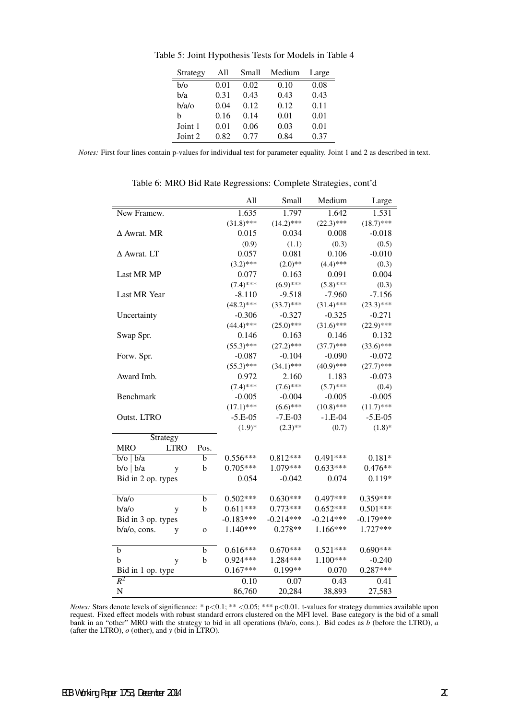| Strategy   | All  | Small | Medium | Large |
|------------|------|-------|--------|-------|
| $b/\alpha$ | 0.01 | 0.02  | 0.10   | 0.08  |
| b/a        | 0.31 | 0.43  | 0.43   | 0.43  |
| b/a/o      | 0.04 | 0.12  | 0.12   | 0.11  |
| h          | 0.16 | 0.14  | 0.01   | 0.01  |
| Joint 1    | 0.01 | 0.06  | 0.03   | 0.01  |
| Joint 2    | 0.82 | 0.77  | 0.84   | 0.37  |

Table 5: Joint Hypothesis Tests for Models in Table 4

*Notes:* First four lines contain p-values for individual test for parameter equality. Joint 1 and 2 as described in text.

|                                   | All          | Small        | Medium       | Large        |
|-----------------------------------|--------------|--------------|--------------|--------------|
| New Framew.                       | 1.635        | 1.797        | 1.642        | 1.531        |
|                                   | $(31.8)$ *** | $(14.2)$ *** | $(22.3)$ *** | $(18.7)$ *** |
| $\Delta$ Awrat. MR                | 0.015        | 0.034        | 0.008        | $-0.018$     |
|                                   | (0.9)        | (1.1)        | (0.3)        | (0.5)        |
| $\Delta$ Awrat. LT                | 0.057        | 0.081        | 0.106        | $-0.010$     |
|                                   | $(3.2)$ ***  | $(2.0)$ **   | $(4.4)$ ***  | (0.3)        |
| Last MR MP                        | 0.077        | 0.163        | 0.091        | 0.004        |
|                                   | $(7.4)$ ***  | $(6.9)$ ***  | $(5.8)$ ***  | (0.3)        |
| Last MR Year                      | $-8.110$     | $-9.518$     | $-7.960$     | $-7.156$     |
|                                   | $(48.2)$ *** | $(33.7)$ *** | $(31.4)$ *** | $(23.3)$ *** |
| Uncertainty                       | $-0.306$     | $-0.327$     | $-0.325$     | $-0.271$     |
|                                   | $(44.4)$ *** | $(25.0)$ *** | $(31.6)$ *** | $(22.9)$ *** |
| Swap Spr.                         | 0.146        | 0.163        | 0.146        | 0.132        |
|                                   | $(55.3)$ *** | $(27.2)$ *** | $(37.7)$ *** | $(33.6)$ *** |
| Forw. Spr.                        | $-0.087$     | $-0.104$     | $-0.090$     | $-0.072$     |
|                                   | $(55.3)$ *** | $(34.1)$ *** | $(40.9)$ *** | $(27.7)$ *** |
| Award Imb.                        | 0.972        | 2.160        | 1.183        | $-0.073$     |
|                                   | $(7.4)$ ***  | $(7.6)$ ***  | $(5.7)$ ***  | (0.4)        |
| Benchmark                         | $-0.005$     | $-0.004$     | $-0.005$     | $-0.005$     |
|                                   | $(17.1)$ *** | $(6.6)$ ***  | $(10.8)$ *** | $(11.7)$ *** |
| Outst. LTRO                       | $-5.E-05$    | $-7.E-03$    | $-1.E-04$    | $-5.E-05$    |
|                                   | $(1.9)*$     | $(2.3)$ **   | (0.7)        | $(1.8)$ *    |
| Strategy                          |              |              |              |              |
| <b>MRO</b><br><b>LTRO</b><br>Pos. |              |              |              |              |
| b<br>$b$ /o   $b/a$               | $0.556***$   | $0.812***$   | $0.491***$   | $0.181*$     |
| $b$ /o   $b/a$<br>b<br>y          | $0.705***$   | 1.079***     | $0.633***$   | $0.476**$    |
| Bid in 2 op. types                | 0.054        | $-0.042$     | 0.074        | $0.119*$     |
|                                   |              |              |              |              |
| b/a<br>b                          | $0.502***$   | $0.630***$   | $0.497***$   | $0.359***$   |
| b/a/o<br>b<br>y                   | $0.611***$   | $0.773***$   | $0.652***$   | $0.501***$   |
| Bid in 3 op. types                | $-0.183***$  | $-0.214***$  | $-0.214***$  | $-0.179***$  |
| b/a/o, cons.<br>y<br>$\mathbf 0$  | $1.140***$   | $0.278**$    | $1.166***$   | 1.727***     |
|                                   |              |              |              |              |
| $\overline{\mathbf{b}}$<br>b      | $0.616***$   | $0.670***$   | $0.521***$   | $0.690***$   |
| b<br>b<br>y                       | $0.924***$   | 1.284***     | 1.100***     | $-0.240$     |
| Bid in 1 op. type                 | $0.167***$   | 0.199**      | 0.070        | $0.287***$   |
| $R^2$                             | 0.10         | 0.07         | 0.43         | 0.41         |
| N                                 | 86,760       | 20,284       | 38,893       | 27,583       |

| Table 6: MRO Bid Rate Regressions: Complete Strategies, cont'd |  |  |
|----------------------------------------------------------------|--|--|
|----------------------------------------------------------------|--|--|

*Notes:* Stars denote levels of significance: \* p*<*0.1; \*\* *<*0.05; \*\*\* p*<*0.01. t-values for strategy dummies available upon request. Fixed effect models with robust standard errors clustered on the MFI level. Base category is the bid of a small bank in an "other" MRO with the strategy to bid in all operations (b/a/o, cons.). Bid codes as *b* (before the LTRO), *a* (after the LTRO), *o* (other), and *y* (bid in LTRO).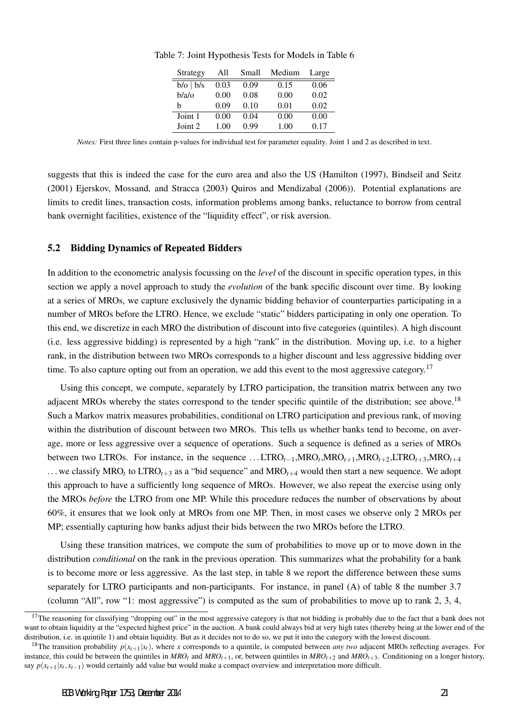| Strategy      | All  | Small | Medium | Large |
|---------------|------|-------|--------|-------|
| $b/o$   $b/s$ | 0.03 | 0.09  | 0.15   | 0.06  |
| $b/a$ / $o$   | 0.00 | 0.08  | 0.00   | 0.02  |
| h             | 0.09 | 0.10  | 0.01   | 0.02  |
| Joint 1       | 0.00 | 0.04  | 0.00   | 0.00  |
| Joint 2       | 1.00 | 0.99  | 1.00   | 0.17  |

Table 7: Joint Hypothesis Tests for Models in Table 6

*Notes:* First three lines contain p-values for individual test for parameter equality. Joint 1 and 2 as described in text.

suggests that this is indeed the case for the euro area and also the US (Hamilton (1997), Bindseil and Seitz (2001) Ejerskov, Mossand, and Stracca (2003) Quiros and Mendizabal (2006)). Potential explanations are limits to credit lines, transaction costs, information problems among banks, reluctance to borrow from central bank overnight facilities, existence of the "liquidity effect", or risk aversion.

### 5.2 Bidding Dynamics of Repeated Bidders

In addition to the econometric analysis focussing on the *level* of the discount in specific operation types, in this section we apply a novel approach to study the *evolution* of the bank specific discount over time. By looking at a series of MROs, we capture exclusively the dynamic bidding behavior of counterparties participating in a number of MROs before the LTRO. Hence, we exclude "static" bidders participating in only one operation. To this end, we discretize in each MRO the distribution of discount into five categories (quintiles). A high discount (i.e. less aggressive bidding) is represented by a high "rank" in the distribution. Moving up, i.e. to a higher rank, in the distribution between two MROs corresponds to a higher discount and less aggressive bidding over time. To also capture opting out from an operation, we add this event to the most aggressive category.<sup>17</sup>

Using this concept, we compute, separately by LTRO participation, the transition matrix between any two adjacent MROs whereby the states correspond to the tender specific quintile of the distribution; see above.<sup>18</sup> Such a Markov matrix measures probabilities, conditional on LTRO participation and previous rank, of moving within the distribution of discount between two MROs. This tells us whether banks tend to become, on average, more or less aggressive over a sequence of operations. Such a sequence is defined as a series of MROs between two LTROs. For instance, in the sequence ...LTRO<sub>t−1</sub>,MRO<sub>t</sub>,MRO<sub>t+1</sub>,MRO<sub>t+2</sub>,LTRO<sub>t+3</sub>,MRO<sub>t+4</sub> ... we classify MRO<sub>t</sub> to LTRO<sub>t+3</sub> as a "bid sequence" and MRO<sub>t+4</sub> would then start a new sequence. We adopt this approach to have a sufficiently long sequence of MROs. However, we also repeat the exercise using only the MROs *before* the LTRO from one MP. While this procedure reduces the number of observations by about 60%, it ensures that we look only at MROs from one MP. Then, in most cases we observe only 2 MROs per MP; essentially capturing how banks adjust their bids between the two MROs before the LTRO.

Using these transition matrices, we compute the sum of probabilities to move up or to move down in the distribution *conditional* on the rank in the previous operation. This summarizes what the probability for a bank is to become more or less aggressive. As the last step, in table 8 we report the difference between these sums separately for LTRO participants and non-participants. For instance, in panel (A) of table 8 the number 3.7 (column "All", row "1: most aggressive") is computed as the sum of probabilities to move up to rank 2, 3, 4,

<sup>&</sup>lt;sup>17</sup>The reasoning for classifying "dropping out" in the most aggressive category is that not bidding is probably due to the fact that a bank does not want to obtain liquidity at the "expected highest price" in the auction. A bank could always bid at very high rates (thereby being at the lower end of the distribution, i.e. in quintile 1) and obtain liquidity. But as it decides not to do so, we put it into the category with the lowest discount.

<sup>&</sup>lt;sup>18</sup>The transition probability  $p(x_{t+1}|x_t)$ , where *x* corresponds to a quintile, is computed between *any two* adjacent MROs reflecting averages. For instance, this could be between the quintiles in  $MRO<sub>t+1</sub>$ , or, between quintiles in  $MRO<sub>t+2</sub>$  and  $MRO<sub>t+3</sub>$ . Conditioning on a longer history, say  $p(x_{t+1}|x_t, x_{t-1})$  would certainly add value but would make a compact overview and interpretation more difficult.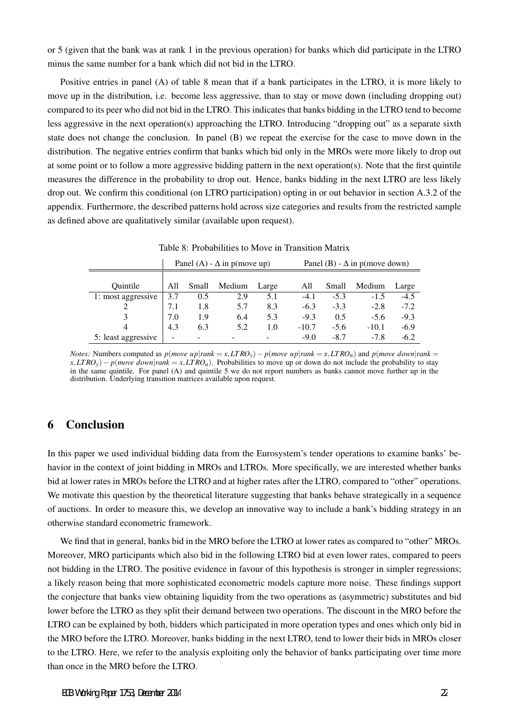or 5 (given that the bank was at rank 1 in the previous operation) for banks which did participate in the LTRO minus the same number for a bank which did not bid in the LTRO.

Positive entries in panel (A) of table 8 mean that if a bank participates in the LTRO, it is more likely to move up in the distribution, i.e. become less aggressive, than to stay or move down (including dropping out) compared to its peer who did not bid in the LTRO. This indicates that banks bidding in the LTRO tend to become less aggressive in the next operation(s) approaching the LTRO. Introducing "dropping out" as a separate sixth state does not change the conclusion. In panel (B) we repeat the exercise for the case to move down in the distribution. The negative entries confirm that banks which bid only in the MROs were more likely to drop out at some point or to follow a more aggressive bidding pattern in the next operation(s). Note that the first quintile measures the difference in the probability to drop out. Hence, banks bidding in the next LTRO are less likely drop out. We confirm this conditional (on LTRO participation) opting in or out behavior in section A.3.2 of the appendix. Furthermore, the described patterns hold across size categories and results from the restricted sample as defined above are qualitatively similar (available upon request).

|                     | Panel (A) - $\Delta$ in p(move up) |       |                          |       |         | Panel (B) - $\Delta$ in p(move down) |         |        |  |
|---------------------|------------------------------------|-------|--------------------------|-------|---------|--------------------------------------|---------|--------|--|
| Ouintile            | All                                | Small | Medium                   | Large | All     | Small                                | Medium  | Large  |  |
| 1: most aggressive  | 3.7                                | 0.5   | 2.9                      | 5.1   | $-4.1$  | $-5.3$                               | $-1.5$  | $-4.5$ |  |
|                     | 7.1                                | 1.8   | 5.7                      | 8.3   | $-6.3$  | $-3.3$                               | $-2.8$  | $-7.2$ |  |
|                     | 7.0                                | 1.9   | 6.4                      | 5.3   | $-9.3$  | 0.5                                  | $-5.6$  | $-9.3$ |  |
| 4                   | 4.3                                | 6.3   | 5.2                      | 1.0   | $-10.7$ | $-5.6$                               | $-10.1$ | $-6.9$ |  |
| 5: least aggressive | $\overline{\phantom{0}}$           |       | $\overline{\phantom{0}}$ |       | $-9.0$  | $-8.7$                               | $-7.8$  | $-6.2$ |  |

Table 8: Probabilities to Move in Transition Matrix

*Notes:* Numbers computed as  $p(move up | rank = x, LTRO_y) - p(move up | rank = x, LTRO_n)$  and  $p(move down | rank = x, LTRO_y)$  $x$ *,LTRO*<sub>*y*</sub> $)$  *−*  $p$ (*move down*|*rank* = *x*,*LTRO*<sub>*n*</sub> $)$ . Probabilities to move up or down do not include the probability to stay in the same quintile. For panel (A) and quintile 5 we do not report numbers as banks cannot move further up in the distribution. Underlying transition matrices available upon request.

## 6 Conclusion

In this paper we used individual bidding data from the Eurosystem's tender operations to examine banks' behavior in the context of joint bidding in MROs and LTROs. More specifically, we are interested whether banks bid at lower rates in MROs before the LTRO and at higher rates after the LTRO, compared to "other" operations. We motivate this question by the theoretical literature suggesting that banks behave strategically in a sequence of auctions. In order to measure this, we develop an innovative way to include a bank's bidding strategy in an otherwise standard econometric framework.

We find that in general, banks bid in the MRO before the LTRO at lower rates as compared to "other" MROs. Moreover, MRO participants which also bid in the following LTRO bid at even lower rates, compared to peers not bidding in the LTRO. The positive evidence in favour of this hypothesis is stronger in simpler regressions; a likely reason being that more sophisticated econometric models capture more noise. These findings support the conjecture that banks view obtaining liquidity from the two operations as (asymmetric) substitutes and bid lower before the LTRO as they split their demand between two operations. The discount in the MRO before the LTRO can be explained by both, bidders which participated in more operation types and ones which only bid in the MRO before the LTRO. Moreover, banks bidding in the next LTRO, tend to lower their bids in MROs closer to the LTRO. Here, we refer to the analysis exploiting only the behavior of banks participating over time more than once in the MRO before the LTRO.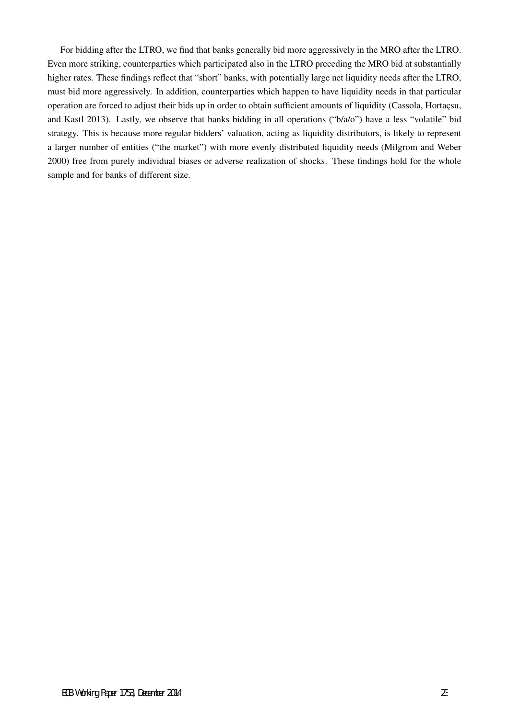For bidding after the LTRO, we find that banks generally bid more aggressively in the MRO after the LTRO. Even more striking, counterparties which participated also in the LTRO preceding the MRO bid at substantially higher rates. These findings reflect that "short" banks, with potentially large net liquidity needs after the LTRO, must bid more aggressively. In addition, counterparties which happen to have liquidity needs in that particular operation are forced to adjust their bids up in order to obtain sufficient amounts of liquidity (Cassola, Hortaçsu, and Kastl 2013). Lastly, we observe that banks bidding in all operations ("b/a/o") have a less "volatile" bid strategy. This is because more regular bidders' valuation, acting as liquidity distributors, is likely to represent a larger number of entities ("the market") with more evenly distributed liquidity needs (Milgrom and Weber 2000) free from purely individual biases or adverse realization of shocks. These findings hold for the whole sample and for banks of different size.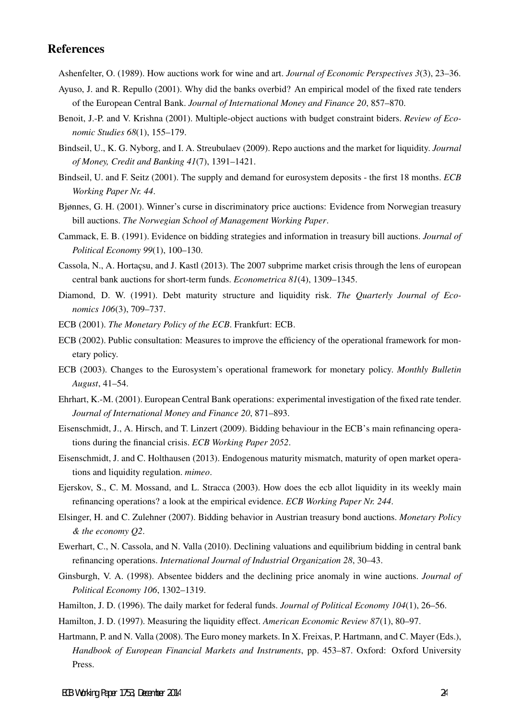## **References**

Ashenfelter, O. (1989). How auctions work for wine and art. *Journal of Economic Perspectives 3*(3), 23–36.

- Ayuso, J. and R. Repullo (2001). Why did the banks overbid? An empirical model of the fixed rate tenders of the European Central Bank. *Journal of International Money and Finance 20*, 857–870.
- Benoit, J.-P. and V. Krishna (2001). Multiple-object auctions with budget constraint biders. *Review of Economic Studies 68*(1), 155–179.
- Bindseil, U., K. G. Nyborg, and I. A. Streubulaev (2009). Repo auctions and the market for liquidity. *Journal of Money, Credit and Banking 41*(7), 1391–1421.
- Bindseil, U. and F. Seitz (2001). The supply and demand for eurosystem deposits the first 18 months. *ECB Working Paper Nr. 44*.
- Bjønnes, G. H. (2001). Winner's curse in discriminatory price auctions: Evidence from Norwegian treasury bill auctions. *The Norwegian School of Management Working Paper*.
- Cammack, E. B. (1991). Evidence on bidding strategies and information in treasury bill auctions. *Journal of Political Economy 99*(1), 100–130.
- Cassola, N., A. Hortaçsu, and J. Kastl (2013). The 2007 subprime market crisis through the lens of european central bank auctions for short-term funds. *Econometrica 81*(4), 1309–1345.
- Diamond, D. W. (1991). Debt maturity structure and liquidity risk. *The Quarterly Journal of Economics 106*(3), 709–737.
- ECB (2001). *The Monetary Policy of the ECB*. Frankfurt: ECB.
- ECB (2002). Public consultation: Measures to improve the efficiency of the operational framework for monetary policy.
- ECB (2003). Changes to the Eurosystem's operational framework for monetary policy. *Monthly Bulletin August*, 41–54.
- Ehrhart, K.-M. (2001). European Central Bank operations: experimental investigation of the fixed rate tender. *Journal of International Money and Finance 20*, 871–893.
- Eisenschmidt, J., A. Hirsch, and T. Linzert (2009). Bidding behaviour in the ECB's main refinancing operations during the financial crisis. *ECB Working Paper 2052*.
- Eisenschmidt, J. and C. Holthausen (2013). Endogenous maturity mismatch, maturity of open market operations and liquidity regulation. *mimeo*.
- Ejerskov, S., C. M. Mossand, and L. Stracca (2003). How does the ecb allot liquidity in its weekly main refinancing operations? a look at the empirical evidence. *ECB Working Paper Nr. 244*.
- Elsinger, H. and C. Zulehner (2007). Bidding behavior in Austrian treasury bond auctions. *Monetary Policy & the economy Q2*.
- Ewerhart, C., N. Cassola, and N. Valla (2010). Declining valuations and equilibrium bidding in central bank refinancing operations. *International Journal of Industrial Organization 28*, 30–43.
- Ginsburgh, V. A. (1998). Absentee bidders and the declining price anomaly in wine auctions. *Journal of Political Economy 106*, 1302–1319.
- Hamilton, J. D. (1996). The daily market for federal funds. *Journal of Political Economy 104*(1), 26–56.
- Hamilton, J. D. (1997). Measuring the liquidity effect. *American Economic Review 87*(1), 80–97.
- Hartmann, P. and N. Valla (2008). The Euro money markets. In X. Freixas, P. Hartmann, and C. Mayer (Eds.), *Handbook of European Financial Markets and Instruments*, pp. 453–87. Oxford: Oxford University Press.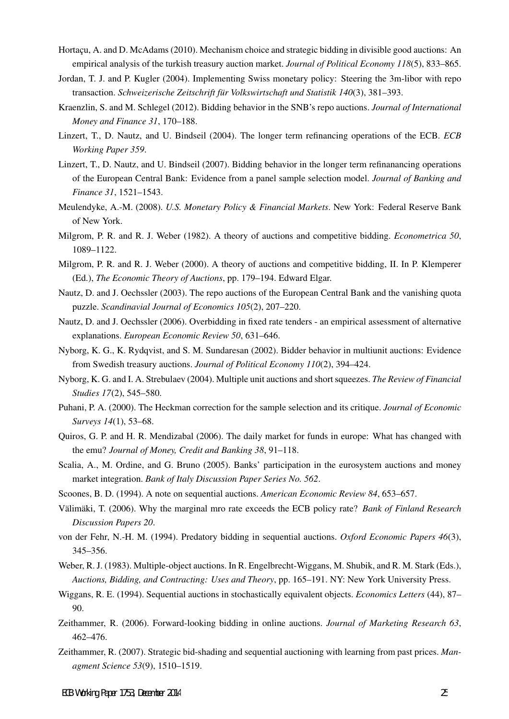- Hortacu, A. and D. McAdams (2010). Mechanism choice and strategic bidding in divisible good auctions: An empirical analysis of the turkish treasury auction market. *Journal of Political Economy 118*(5), 833–865.
- Jordan, T. J. and P. Kugler (2004). Implementing Swiss monetary policy: Steering the 3m-libor with repo transaction. *Schweizerische Zeitschrift für Volkswirtschaft und Statistik 140(3)*, 381–393.
- Kraenzlin, S. and M. Schlegel (2012). Bidding behavior in the SNB's repo auctions. *Journal of International Money and Finance 31*, 170–188.
- Linzert, T., D. Nautz, and U. Bindseil (2004). The longer term refinancing operations of the ECB. *ECB Working Paper 359*.
- Linzert, T., D. Nautz, and U. Bindseil (2007). Bidding behavior in the longer term refinanancing operations of the European Central Bank: Evidence from a panel sample selection model. *Journal of Banking and Finance 31*, 1521–1543.
- Meulendyke, A.-M. (2008). *U.S. Monetary Policy & Financial Markets*. New York: Federal Reserve Bank of New York.
- Milgrom, P. R. and R. J. Weber (1982). A theory of auctions and competitive bidding. *Econometrica 50*, 1089–1122.
- Milgrom, P. R. and R. J. Weber (2000). A theory of auctions and competitive bidding, II. In P. Klemperer (Ed.), *The Economic Theory of Auctions*, pp. 179–194. Edward Elgar.
- Nautz, D. and J. Oechssler (2003). The repo auctions of the European Central Bank and the vanishing quota puzzle. *Scandinavial Journal of Economics 105*(2), 207–220.
- Nautz, D. and J. Oechssler (2006). Overbidding in fixed rate tenders an empirical assessment of alternative explanations. *European Economic Review 50*, 631–646.
- Nyborg, K. G., K. Rydqvist, and S. M. Sundaresan (2002). Bidder behavior in multiunit auctions: Evidence from Swedish treasury auctions. *Journal of Political Economy 110*(2), 394–424.
- Nyborg, K. G. and I. A. Strebulaev (2004). Multiple unit auctions and short squeezes. *The Review of Financial Studies 17*(2), 545–580.
- Puhani, P. A. (2000). The Heckman correction for the sample selection and its critique. *Journal of Economic Surveys 14*(1), 53–68.
- Quiros, G. P. and H. R. Mendizabal (2006). The daily market for funds in europe: What has changed with the emu? *Journal of Money, Credit and Banking 38*, 91–118.
- Scalia, A., M. Ordine, and G. Bruno (2005). Banks' participation in the eurosystem auctions and money market integration. *Bank of Italy Discussion Paper Series No. 562*.
- Scoones, B. D. (1994). A note on sequential auctions. *American Economic Review 84*, 653–657.
- Välimäki, T. (2006). Why the marginal mro rate exceeds the ECB policy rate? Bank of Finland Research *Discussion Papers 20*.
- von der Fehr, N.-H. M. (1994). Predatory bidding in sequential auctions. *Oxford Economic Papers 46*(3), 345–356.
- Weber, R. J. (1983). Multiple-object auctions. In R. Engelbrecht-Wiggans, M. Shubik, and R. M. Stark (Eds.), *Auctions, Bidding, and Contracting: Uses and Theory*, pp. 165–191. NY: New York University Press.
- Wiggans, R. E. (1994). Sequential auctions in stochastically equivalent objects. *Economics Letters* (44), 87– 90.
- Zeithammer, R. (2006). Forward-looking bidding in online auctions. *Journal of Marketing Research 63*, 462–476.
- Zeithammer, R. (2007). Strategic bid-shading and sequential auctioning with learning from past prices. *Managment Science 53*(9), 1510–1519.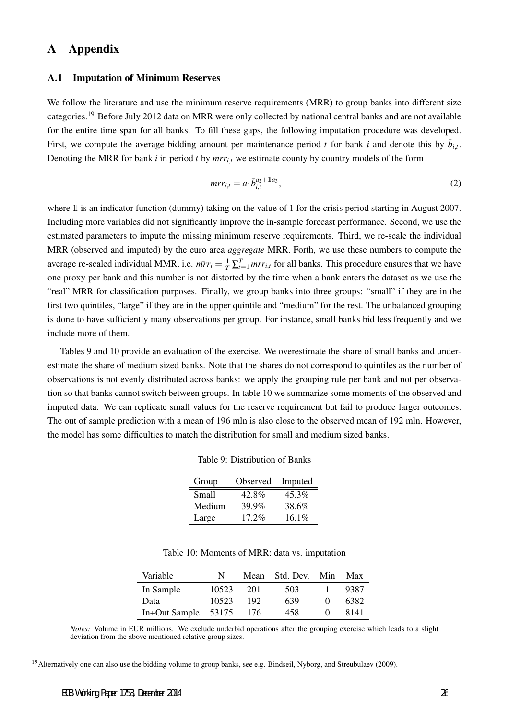# A Appendix

### A.1 Imputation of Minimum Reserves

We follow the literature and use the minimum reserve requirements (MRR) to group banks into different size categories.<sup>19</sup> Before July 2012 data on MRR were only collected by national central banks and are not available for the entire time span for all banks. To fill these gaps, the following imputation procedure was developed. First, we compute the average bidding amount per maintenance period *t* for bank *i* and denote this by  $\bar{b}_{i,t}$ . Denoting the MRR for bank  $i$  in period  $t$  by  $mrr_{i,t}$  we estimate county by country models of the form

$$
m r_{i,t} = a_1 \bar{b}_{i,t}^{a_2 + 1 a_3}, \tag{2}
$$

where 1 is an indicator function (dummy) taking on the value of 1 for the crisis period starting in August 2007. Including more variables did not significantly improve the in-sample forecast performance. Second, we use the estimated parameters to impute the missing minimum reserve requirements. Third, we re-scale the individual MRR (observed and imputed) by the euro area *aggregate* MRR. Forth, we use these numbers to compute the average re-scaled individual MMR, i.e.  $m\bar{r}r_i = \frac{1}{T}\sum_{t=1}^{T} mrr_{i,t}$  for all banks. This procedure ensures that we have one proxy per bank and this number is not distorted by the time when a bank enters the dataset as we use the "real" MRR for classification purposes. Finally, we group banks into three groups: "small" if they are in the first two quintiles, "large" if they are in the upper quintile and "medium" for the rest. The unbalanced grouping is done to have sufficiently many observations per group. For instance, small banks bid less frequently and we include more of them.

Tables 9 and 10 provide an evaluation of the exercise. We overestimate the share of small banks and underestimate the share of medium sized banks. Note that the shares do not correspond to quintiles as the number of observations is not evenly distributed across banks: we apply the grouping rule per bank and not per observation so that banks cannot switch between groups. In table 10 we summarize some moments of the observed and imputed data. We can replicate small values for the reserve requirement but fail to produce larger outcomes. The out of sample prediction with a mean of 196 mln is also close to the observed mean of 192 mln. However, the model has some difficulties to match the distribution for small and medium sized banks.

| Group  | Observed | Imputed |
|--------|----------|---------|
| Small  | 42.8%    | 45.3%   |
| Medium | 39.9%    | 38.6%   |
| Large  | 17.2%    | 16.1%   |

| Table 10: Moments of MRR: data vs. imputation |  |  |
|-----------------------------------------------|--|--|
|-----------------------------------------------|--|--|

| Variable      | N     | Mean | Std. Dev. Min |                   | Max  |
|---------------|-------|------|---------------|-------------------|------|
| In Sample     | 10523 | 201  | 503           |                   | 9387 |
| Data          | 10523 | 192  | 639           | $\mathbf{\Omega}$ | 6382 |
| In+Out Sample | 53175 | 176  | 458           |                   | 8141 |

*Notes:* Volume in EUR millions. We exclude underbid operations after the grouping exercise which leads to a slight deviation from the above mentioned relative group sizes.

<sup>&</sup>lt;sup>19</sup> Alternatively one can also use the bidding volume to group banks, see e.g. Bindseil, Nyborg, and Streubulaev (2009).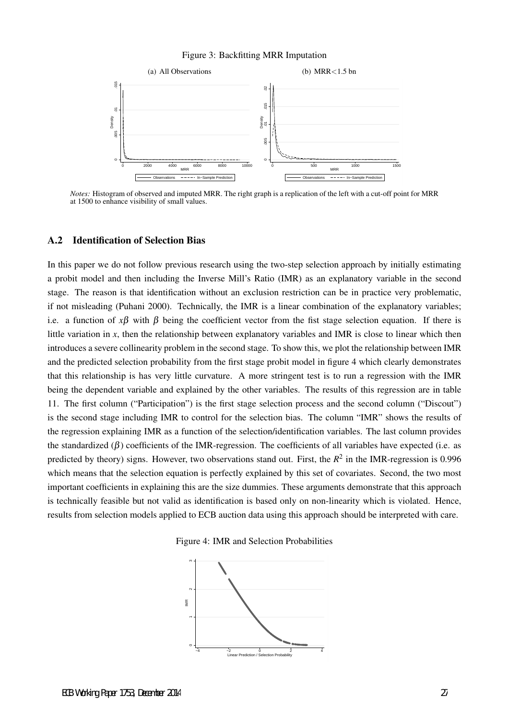### Figure 3: Backfitting MRR Imputation



*Notes:* Histogram of observed and imputed MRR. The right graph is a replication of the left with a cut-off point for MRR at 1500 to enhance visibility of small values.

### A.2 Identification of Selection Bias

In this paper we do not follow previous research using the two-step selection approach by initially estimating a probit model and then including the Inverse Mill's Ratio (IMR) as an explanatory variable in the second stage. The reason is that identification without an exclusion restriction can be in practice very problematic, if not misleading (Puhani 2000). Technically, the IMR is a linear combination of the explanatory variables; i.e. a function of  $x\beta$  with  $\beta$  being the coefficient vector from the fist stage selection equation. If there is little variation in *x*, then the relationship between explanatory variables and IMR is close to linear which then introduces a severe collinearity problem in the second stage. To show this, we plot the relationship between IMR and the predicted selection probability from the first stage probit model in figure 4 which clearly demonstrates that this relationship is has very little curvature. A more stringent test is to run a regression with the IMR being the dependent variable and explained by the other variables. The results of this regression are in table 11. The first column ("Participation") is the first stage selection process and the second column ("Discout") is the second stage including IMR to control for the selection bias. The column "IMR" shows the results of the regression explaining IMR as a function of the selection/identification variables. The last column provides the standardized ( $\beta$ ) coefficients of the IMR-regression. The coefficients of all variables have expected (i.e. as predicted by theory) signs. However, two observations stand out. First, the  $R^2$  in the IMR-regression is 0.996 which means that the selection equation is perfectly explained by this set of covariates. Second, the two most important coefficients in explaining this are the size dummies. These arguments demonstrate that this approach is technically feasible but not valid as identification is based only on non-linearity which is violated. Hence, results from selection models applied to ECB auction data using this approach should be interpreted with care.

Figure 4: IMR and Selection Probabilities

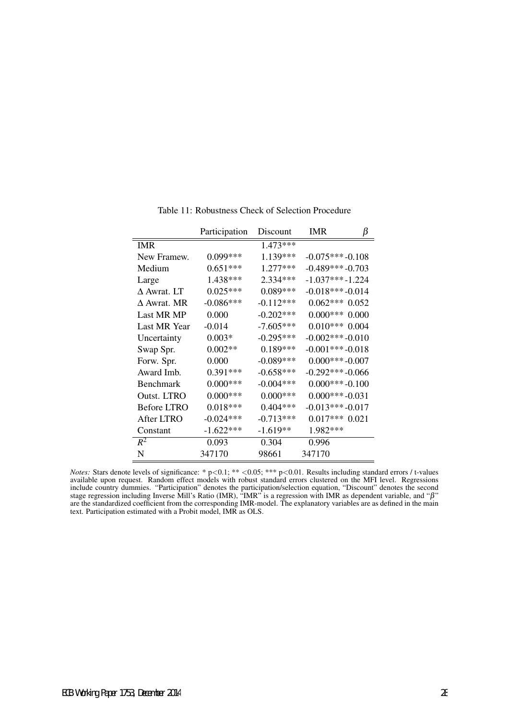|                    | Participation | Discount    | ß<br><b>IMR</b>       |
|--------------------|---------------|-------------|-----------------------|
| <b>IMR</b>         |               | 1.473***    |                       |
| New Framew.        | $0.099***$    | 1.139***    | $-0.075***-0.108$     |
| Medium             | $0.651***$    | 1.277***    | $-0.489***-0.703$     |
| Large              | 1.438***      | 2.334***    | $-1.037***-1.224$     |
| $\Delta$ Awrat. LT | $0.025***$    | $0.089***$  | $-0.018***-0.014$     |
| $\Delta$ Awrat. MR | $-0.086***$   | $-0.112***$ | $0.062***0.052$       |
| Last MR MP         | 0.000         | $-0.202***$ | $0.000***$<br>0.000   |
| Last MR Year       | $-0.014$      | $-7.605***$ | $0.010***$<br>0.004   |
| Uncertainty        | $0.003*$      | $-0.295***$ | $-0.002$ *** $-0.010$ |
| Swap Spr.          | $0.002**$     | $0.189***$  | $-0.001***-0.018$     |
| Forw. Spr.         | 0.000         | $-0.089***$ | $0.000***-0.007$      |
| Award Imb.         | $0.391***$    | $-0.658***$ | $-0.292***-0.066$     |
| <b>Benchmark</b>   | $0.000***$    | $-0.004***$ | $0.000***-0.100$      |
| Outst. LTRO        | $0.000***$    | $0.000***$  | $0.000***-0.031$      |
| <b>Before LTRO</b> | $0.018***$    | $0.404***$  | $-0.013***-0.017$     |
| After LTRO         | $-0.024***$   | $-0.713***$ | $0.017***0.021$       |
| Constant           | $-1.622***$   | $-1.619**$  | 1.982***              |
| $R^2$              | 0.093         | 0.304       | 0.996                 |
| N                  | 347170        | 98661       | 347170                |

Table 11: Robustness Check of Selection Procedure

*Notes:* Stars denote levels of significance: \* p*<*0.1; \*\* *<*0.05; \*\*\* p*<*0.01. Results including standard errors / t-values available upon request. Random effect models with robust standard errors clustered on the MFI level. Regressions include country dummies. "Participation" denotes the participation/selection equation, "Discount" denotes the second stage regression including Inverse Mill's Ratio (IMR), "IMR" is a regression with IMR as dependent variable, and " $\beta$ " are the standardized coefficient from the corresponding IMR-model. The explanatory variables are as defined in the main text. Participation estimated with a Probit model, IMR as OLS.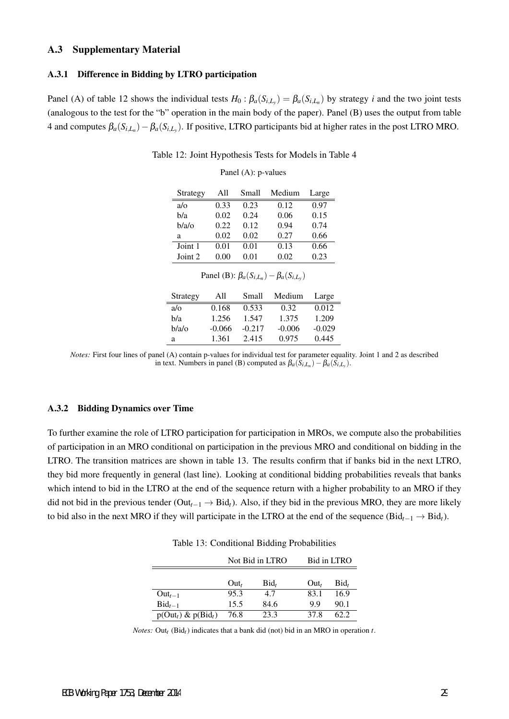### A.3 Supplementary Material

### A.3.1 Difference in Bidding by LTRO participation

Panel (A) of table 12 shows the individual tests  $H_0: \beta_a(S_{i,L_y}) = \beta_a(S_{i,L_n})$  by strategy *i* and the two joint tests (analogous to the test for the "b" operation in the main body of the paper). Panel (B) uses the output from table 4 and computes β*a*(*Si,L<sup>n</sup>* )*−*β*a*(*Si,L<sup>y</sup>* ). If positive, LTRO participants bid at higher rates in the post LTRO MRO.

| Strategy                                             | A11  | Small | Medium | Large |  |  |
|------------------------------------------------------|------|-------|--------|-------|--|--|
| $a/\alpha$                                           | 0.33 | 0.23  | 0.12   | 0.97  |  |  |
| b/a                                                  | 0.02 | 0.24  | 0.06   | 0.15  |  |  |
| b/a/o                                                | 0.22 | 0.12  | 0.94   | 0.74  |  |  |
| a                                                    | 0.02 | 0.02  | 0.27   | 0.66  |  |  |
| Joint 1                                              | 0.01 | 0.01  | 0.13   | 0.66  |  |  |
| Joint 2                                              | 0.00 | 0.01  | 0.02   | 0.23  |  |  |
| Panel (B): $\beta_a(S_{i,L_n}) - \beta_a(S_{i,L_v})$ |      |       |        |       |  |  |
| Strategy                                             | A11  | Small | Medium | Large |  |  |

Table 12: Joint Hypothesis Tests for Models in Table 4

Panel (A): p-values

| <i>Notes:</i> First four lines of panel (A) contain p-values for individual test for parameter equality. Joint 1 and 2 as described |  |
|-------------------------------------------------------------------------------------------------------------------------------------|--|
| in text. Numbers in panel (B) computed as $\beta_a(S_{i,L_n}) - \beta_a(S_{i,L_v})$ .                                               |  |

a/o 0.168 0.533 0.32 0.012 b/a 1.256 1.547 1.375 1.209 b/a/o -0.066 -0.217 -0.006 -0.029 a 1.361 2.415 0.975 0.445

### A.3.2 Bidding Dynamics over Time

To further examine the role of LTRO participation for participation in MROs, we compute also the probabilities of participation in an MRO conditional on participation in the previous MRO and conditional on bidding in the LTRO. The transition matrices are shown in table 13. The results confirm that if banks bid in the next LTRO, they bid more frequently in general (last line). Looking at conditional bidding probabilities reveals that banks which intend to bid in the LTRO at the end of the sequence return with a higher probability to an MRO if they did not bid in the previous tender (Out*t−*<sup>1</sup> *→* Bid*t*). Also, if they bid in the previous MRO, they are more likely to bid also in the next MRO if they will participate in the LTRO at the end of the sequence (Bid*t−*<sup>1</sup> *→* Bid*t*).

Table 13: Conditional Bidding Probabilities

|                         |         | Not Bid in LTRO | Bid in LTRO |         |  |
|-------------------------|---------|-----------------|-------------|---------|--|
|                         |         |                 |             |         |  |
|                         | $Out_t$ | $\text{Bid}_t$  | $Out_{t}$   | $Bid_t$ |  |
| $Out_{t-1}$             | 95.3    | 4.7             | 83.1        | 16.9    |  |
| $\text{Bid}_{t-1}$      | 15.5    | 84.6            | 99          | 90.1    |  |
| $p(Out_t)$ & $p(Bid_t)$ | 76.8    | 23.3            | 37 R        | 62.2    |  |

*Notes:* Out*t* (Bid*t*) indicates that a bank did (not) bid in an MRO in operation *t*.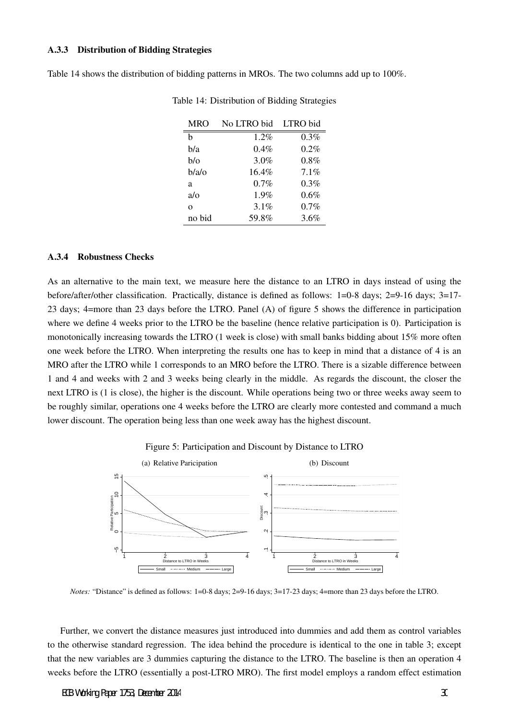### A.3.3 Distribution of Bidding Strategies

Table 14 shows the distribution of bidding patterns in MROs. The two columns add up to 100%.

| <b>MRO</b> | No LTRO bid | LTRO bid |
|------------|-------------|----------|
| h          | $1.2\%$     | $0.3\%$  |
| b/a        | $0.4\%$     | $0.2\%$  |
| b/o        | 3.0%        | 0.8%     |
| b/a/o      | $16.4\%$    | 7.1%     |
| a          | 0.7%        | 0.3%     |
| $a/\alpha$ | 1.9%        | $0.6\%$  |
| $\Omega$   | 3.1%        | 0.7%     |
| no bid     | 59.8%       | 3.6%     |
|            |             |          |

Table 14: Distribution of Bidding Strategies

### A.3.4 Robustness Checks

As an alternative to the main text, we measure here the distance to an LTRO in days instead of using the before/after/other classification. Practically, distance is defined as follows: 1=0-8 days; 2=9-16 days; 3=17- 23 days; 4=more than 23 days before the LTRO. Panel (A) of figure 5 shows the difference in participation where we define 4 weeks prior to the LTRO be the baseline (hence relative participation is 0). Participation is monotonically increasing towards the LTRO (1 week is close) with small banks bidding about 15% more often one week before the LTRO. When interpreting the results one has to keep in mind that a distance of 4 is an MRO after the LTRO while 1 corresponds to an MRO before the LTRO. There is a sizable difference between 1 and 4 and weeks with 2 and 3 weeks being clearly in the middle. As regards the discount, the closer the next LTRO is (1 is close), the higher is the discount. While operations being two or three weeks away seem to be roughly similar, operations one 4 weeks before the LTRO are clearly more contested and command a much lower discount. The operation being less than one week away has the highest discount.





*Notes:* "Distance" is defined as follows: 1=0-8 days; 2=9-16 days; 3=17-23 days; 4=more than 23 days before the LTRO.

Further, we convert the distance measures just introduced into dummies and add them as control variables to the otherwise standard regression. The idea behind the procedure is identical to the one in table 3; except that the new variables are 3 dummies capturing the distance to the LTRO. The baseline is then an operation 4 weeks before the LTRO (essentially a post-LTRO MRO). The first model employs a random effect estimation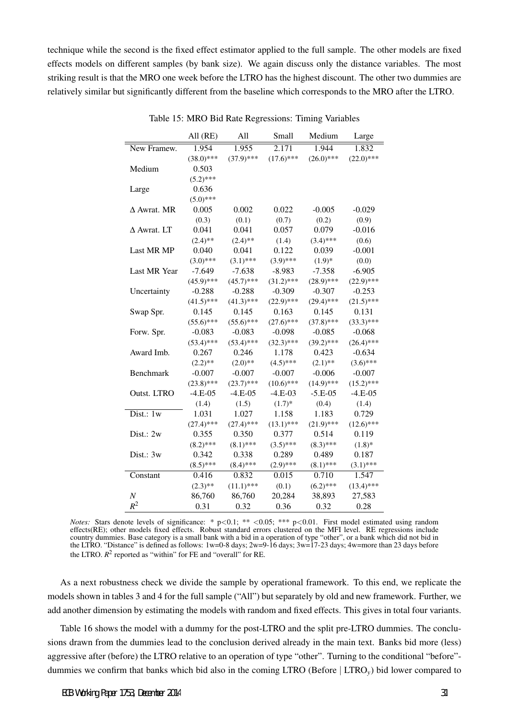technique while the second is the fixed effect estimator applied to the full sample. The other models are fixed effects models on different samples (by bank size). We again discuss only the distance variables. The most striking result is that the MRO one week before the LTRO has the highest discount. The other two dummies are relatively similar but significantly different from the baseline which corresponds to the MRO after the LTRO.

|                    | All $(RE)$   | All          | Small        | Medium       | Large        |
|--------------------|--------------|--------------|--------------|--------------|--------------|
| New Framew.        | 1.954        | 1.955        | 2.171        | 1.944        | 1.832        |
|                    | $(38.0)$ *** | $(37.9)$ *** | $(17.6)$ *** | $(26.0)$ *** | $(22.0)$ *** |
| Medium             | 0.503        |              |              |              |              |
|                    | $(5.2)$ ***  |              |              |              |              |
| Large              | 0.636        |              |              |              |              |
|                    | $(5.0)$ ***  |              |              |              |              |
| $\Delta$ Awrat. MR | 0.005        | 0.002        | 0.022        | $-0.005$     | $-0.029$     |
|                    | (0.3)        | (0.1)        | (0.7)        | (0.2)        | (0.9)        |
| $\Delta$ Awrat. LT | 0.041        | 0.041        | 0.057        | 0.079        | $-0.016$     |
|                    | $(2.4)$ **   | $(2.4)$ **   | (1.4)        | $(3.4)$ ***  | (0.6)        |
| Last MR MP         | 0.040        | 0.041        | 0.122        | 0.039        | $-0.001$     |
|                    | $(3.0)$ ***  | $(3.1)$ ***  | $(3.9)$ ***  | $(1.9)*$     | (0.0)        |
| Last MR Year       | $-7.649$     | $-7.638$     | $-8.983$     | $-7.358$     | $-6.905$     |
|                    | $(45.9)$ *** | $(45.7)$ *** | $(31.2)$ *** | $(28.9)$ *** | $(22.9)$ *** |
| Uncertainty        | $-0.288$     | $-0.288$     | $-0.309$     | $-0.307$     | $-0.253$     |
|                    | $(41.5)$ *** | $(41.3)$ *** | $(22.9)$ *** | $(29.4)$ *** | $(21.5)$ *** |
| Swap Spr.          | 0.145        | 0.145        | 0.163        | 0.145        | 0.131        |
|                    | $(55.6)$ *** | $(55.6)$ *** | $(27.6)$ *** | $(37.8)$ *** | $(33.3)$ *** |
| Forw. Spr.         | $-0.083$     | $-0.083$     | $-0.098$     | $-0.085$     | $-0.068$     |
|                    | $(53.4)$ *** | $(53.4)$ *** | $(32.3)$ *** | $(39.2)$ *** | $(26.4)$ *** |
| Award Imb.         | 0.267        | 0.246        | 1.178        | 0.423        | $-0.634$     |
|                    | $(2.2)$ **   | $(2.0)$ **   | $(4.5)$ ***  | $(2.1)$ **   | $(3.6)$ ***  |
| Benchmark          | $-0.007$     | $-0.007$     | $-0.007$     | $-0.006$     | $-0.007$     |
|                    | $(23.8)$ *** | $(23.7)$ *** | $(10.6)$ *** | $(14.9)$ *** | $(15.2)$ *** |
| Outst. LTRO        | $-4.E-05$    | $-4.E-05$    | $-4.E-03$    | $-5.E-05$    | $-4.E-05$    |
|                    | (1.4)        | (1.5)        | $(1.7)*$     | (0.4)        | (1.4)        |
| Dist.: $1w$        | 1.031        | 1.027        | 1.158        | 1.183        | 0.729        |
|                    | $(27.4)$ *** | $(27.4)$ *** | $(13.1)$ *** | $(21.9)$ *** | $(12.6)$ *** |
| Dist.: 2w          | 0.355        | 0.350        | 0.377        | 0.514        | 0.119        |
|                    | $(8.2)$ ***  | $(8.1)$ ***  | $(3.5)$ ***  | $(8.3)$ ***  | $(1.8)$ *    |
| Dist.: 3w          | 0.342        | 0.338        | 0.289        | 0.489        | 0.187        |
|                    | $(8.5)$ ***  | $(8.4)$ ***  | $(2.9)$ ***  | $(8.1)$ ***  | $(3.1)$ ***  |
| Constant           | 0.416        | 0.832        | 0.015        | 0.710        | 1.547        |
|                    | $(2.3)$ **   | $(11.1)$ *** | (0.1)        | $(6.2)$ ***  | $(13.4)$ *** |
| $\boldsymbol{N}$   | 86,760       | 86,760       | 20,284       | 38,893       | 27,583       |
| $R^2$              | 0.31         | 0.32         | 0.36         | 0.32         | 0.28         |

Table 15: MRO Bid Rate Regressions: Timing Variables

*Notes:* Stars denote levels of significance: \* p*<*0.1; \*\* *<*0.05; \*\*\* p*<*0.01. First model estimated using random effects(RE); other models fixed effects. Robust standard errors clustered on the MFI level. RE regressions include country dummies. Base category is a small bank with a bid in a operation of type "other", or a bank which did not bid in the LTRO. "Distance" is defined as follows:  $1w=0-8$  days;  $2w=9-16$  days;  $3w=17-23$  days;  $4w=$ more than 23 days before the LTRO.  $R^2$  reported as "within" for FE and "overall" for RE.

As a next robustness check we divide the sample by operational framework. To this end, we replicate the models shown in tables 3 and 4 for the full sample ("All") but separately by old and new framework. Further, we add another dimension by estimating the models with random and fixed effects. This gives in total four variants.

Table 16 shows the model with a dummy for the post-LTRO and the split pre-LTRO dummies. The conclusions drawn from the dummies lead to the conclusion derived already in the main text. Banks bid more (less) aggressive after (before) the LTRO relative to an operation of type "other". Turning to the conditional "before" dummies we confirm that banks which bid also in the coming LTRO (Before *|* LTRO*y*) bid lower compared to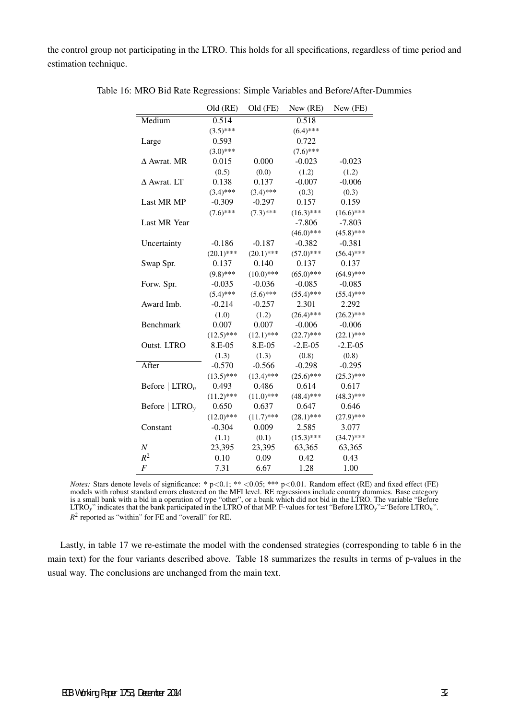the control group not participating in the LTRO. This holds for all specifications, regardless of time period and estimation technique.

|                            | Old (RE)     | Old (FE)     | New (RE)     | New (FE)     |
|----------------------------|--------------|--------------|--------------|--------------|
| Medium                     | 0.514        |              | 0.518        |              |
|                            | $(3.5)$ ***  |              | $(6.4)$ ***  |              |
| Large                      | 0.593        |              | 0.722        |              |
|                            | $(3.0)$ ***  |              | $(7.6)$ ***  |              |
| $\Delta$ Awrat. MR         | 0.015        | 0.000        | $-0.023$     | $-0.023$     |
|                            | (0.5)        | (0.0)        | (1.2)        | (1.2)        |
| $\triangle$ Awrat, LT      | 0.138        | 0.137        | $-0.007$     | $-0.006$     |
|                            | $(3.4)$ ***  | $(3.4)$ ***  | (0.3)        | (0.3)        |
| Last MR MP                 | $-0.309$     | $-0.297$     | 0.157        | 0.159        |
|                            | $(7.6)$ ***  | $(7.3)$ ***  | $(16.3)$ *** | $(16.6)$ *** |
| Last MR Year               |              |              | $-7.806$     | $-7.803$     |
|                            |              |              | $(46.0)$ *** | $(45.8)$ *** |
| Uncertainty                | $-0.186$     | $-0.187$     | $-0.382$     | $-0.381$     |
|                            | $(20.1)$ *** | $(20.1)$ *** | $(57.0)$ *** | $(56.4)$ *** |
| Swap Spr.                  | 0.137        | 0.140        | 0.137        | 0.137        |
|                            | $(9.8)$ ***  | $(10.0)$ *** | $(65.0)$ *** | $(64.9)$ *** |
| Forw. Spr.                 | $-0.035$     | $-0.036$     | $-0.085$     | $-0.085$     |
|                            | $(5.4)$ ***  | $(5.6)$ ***  | $(55.4)$ *** | $(55.4)$ *** |
| Award Imb.                 | $-0.214$     | $-0.257$     | 2.301        | 2.292        |
|                            | (1.0)        | (1.2)        | $(26.4)$ *** | $(26.2)$ *** |
| Benchmark                  | 0.007        | 0.007        | $-0.006$     | $-0.006$     |
|                            | $(12.5)$ *** | $(12.1)$ *** | $(22.7)$ *** | $(22.1)$ *** |
| Outst. LTRO                | 8.E-05       | 8.E-05       | $-2.E-05$    | $-2.E-05$    |
|                            | (1.3)        | (1.3)        | (0.8)        | (0.8)        |
| After                      | $-0.570$     | $-0.566$     | $-0.298$     | $-0.295$     |
|                            | $(13.5)$ *** | $(13.4)$ *** | $(25.6)$ *** | $(25.3)$ *** |
| Before   $LTRO_n$          | 0.493        | 0.486        | 0.614        | 0.617        |
|                            | $(11.2)$ *** | $(11.0)$ *** | $(48.4)$ *** | $(48.3)$ *** |
| Before $ \text{LTRO}_{v} $ | 0.650        | 0.637        | 0.647        | 0.646        |
|                            | $(12.0)$ *** | $(11.7)$ *** | $(28.1)$ *** | $(27.9)$ *** |
| Constant                   | $-0.304$     | 0.009        | 2.585        | 3.077        |
|                            | (1.1)        | (0.1)        | $(15.3)$ *** | $(34.7)$ *** |
| $\boldsymbol{N}$           | 23,395       | 23,395       | 63,365       | 63,365       |
| $R^2$                      | 0.10         | 0.09         | 0.42         | 0.43         |
| $\cal F$                   | 7.31         | 6.67         | 1.28         | 1.00         |

Table 16: MRO Bid Rate Regressions: Simple Variables and Before/After-Dummies

*Notes:* Stars denote levels of significance: \* p*<*0.1; \*\* *<*0.05; \*\*\* p*<*0.01. Random effect (RE) and fixed effect (FE) models with robust standard errors clustered on the MFI level. RE regressions include country dummies. Base category is a small bank with a bid in a operation of type "other", or a bank which did not bid in the LTRO. The variable "Before LTRO*y*" indicates that the bank participated in the LTRO of that MP. F-values for test "Before LTRO*y*"="Before LTRO*n*".  $R<sup>2</sup>$  reported as "within" for FE and "overall" for RE.

Lastly, in table 17 we re-estimate the model with the condensed strategies (corresponding to table 6 in the main text) for the four variants described above. Table 18 summarizes the results in terms of p-values in the usual way. The conclusions are unchanged from the main text.